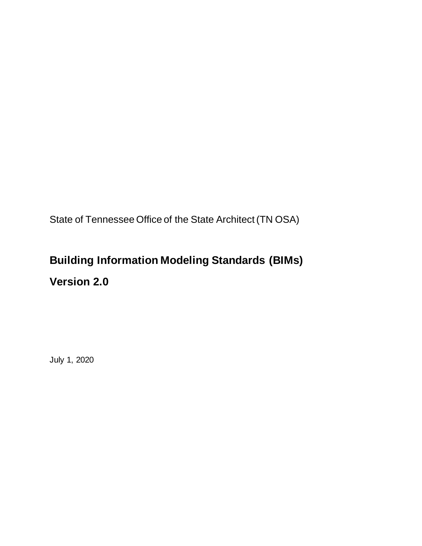State of Tennessee Office of the State Architect (TN OSA)

# **Building Information Modeling Standards (BIMs) Version 2.0**

July 1, 2020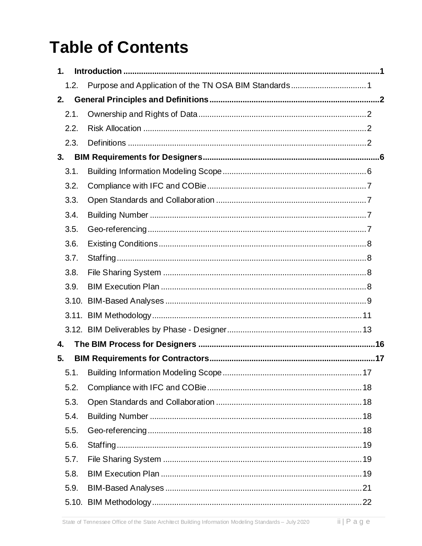# **Table of Contents**

| 1.   |  |
|------|--|
| 1.2. |  |
| 2.   |  |
| 2.1. |  |
| 2.2. |  |
| 2.3. |  |
| 3.   |  |
| 3.1. |  |
| 3.2. |  |
| 3.3. |  |
| 3.4. |  |
| 3.5. |  |
| 3.6. |  |
| 3.7. |  |
| 3.8. |  |
| 3.9. |  |
|      |  |
|      |  |
|      |  |
| 4.   |  |
| 5.   |  |
| 5.1. |  |
| 5.2. |  |
| 5.3. |  |
| 5.4. |  |
| 5.5. |  |
| 5.6. |  |
| 5.7. |  |
| 5.8. |  |
| 5.9. |  |
|      |  |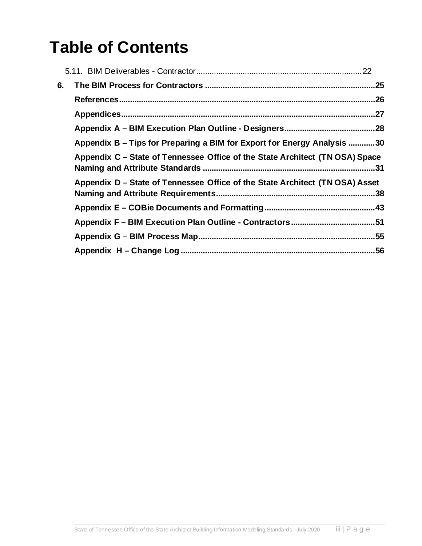# **Table of Contents**

| 6. |                                                                              |  |
|----|------------------------------------------------------------------------------|--|
|    |                                                                              |  |
|    |                                                                              |  |
|    |                                                                              |  |
|    | Appendix B – Tips for Preparing a BIM for Export for Energy Analysis 30      |  |
|    | Appendix C – State of Tennessee Office of the State Architect (TN OSA) Space |  |
|    | Appendix D – State of Tennessee Office of the State Architect (TN OSA) Asset |  |
|    |                                                                              |  |
|    |                                                                              |  |
|    |                                                                              |  |
|    |                                                                              |  |
|    |                                                                              |  |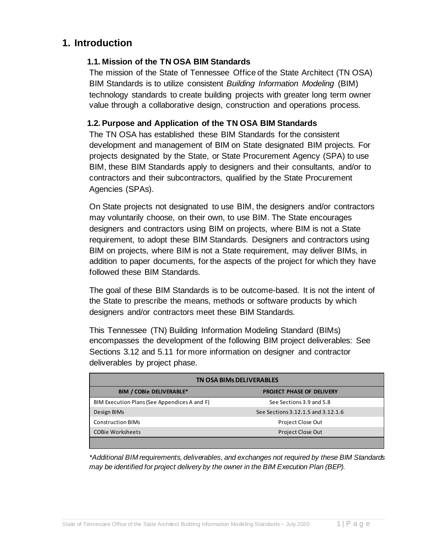### <span id="page-3-0"></span>**1. Introduction**

#### **1.1. Mission of the TN OSA BIM Standards**

The mission of the State of Tennessee Office of the State Architect (TN OSA) BIM Standards is to utilize consistent *Building Information Modeling* (BIM) technology standards to create building projects with greater long term owner value through a collaborative design, construction and operations process.

#### <span id="page-3-1"></span>**1.2. Purpose and Application of the TN OSA BIM Standards**

The TN OSA has established these BIM Standards for the consistent development and management of BIM on State designated BIM projects. For projects designated by the State, or State Procurement Agency (SPA) to use BIM, these BIM Standards apply to designers and their consultants, and/or to contractors and their subcontractors, qualified by the State Procurement Agencies (SPAs).

On State projects not designated to use BIM, the designers and/or contractors may voluntarily choose, on their own, to use BIM. The State encourages designers and contractors using BIM on projects, where BIM is not a State requirement, to adopt these BIM Standards. Designers and contractors using BIM on projects, where BIM is not a State requirement, may deliver BIMs, in addition to paper documents, for the aspects of the project for which they have followed these BIM Standards.

The goal of these BIM Standards is to be outcome-based. It is not the intent of the State to prescribe the means, methods or software products by which designers and/or contractors meet these BIM Standards.

This Tennessee (TN) Building Information Modeling Standard (BIMs) encompasses the development of the following BIM project deliverables: See Sections 3.12 and 5.11 for more information on designer and contractor deliverables by project phase.

| <b>TN OSA BIMs DELIVERABLES</b>                                     |                                    |  |  |  |  |  |  |
|---------------------------------------------------------------------|------------------------------------|--|--|--|--|--|--|
| <b>BIM / COBIe DELIVERABLE*</b><br><b>PROJECT PHASE OF DELIVERY</b> |                                    |  |  |  |  |  |  |
| BIM Execution Plans (See Appendices A and F)                        | See Sections 3.9 and 5.8           |  |  |  |  |  |  |
| Design BIMs                                                         | See Sections 3.12.1.5 and 3.12.1.6 |  |  |  |  |  |  |
| <b>Construction BIMs</b>                                            | Project Close Out                  |  |  |  |  |  |  |
| <b>COBie Worksheets</b>                                             | <b>Project Close Out</b>           |  |  |  |  |  |  |
|                                                                     |                                    |  |  |  |  |  |  |

*\*Additional BIM requirements, deliverables, and exchanges not required by these BIM Standards may be identified for project delivery by the owner in the BIM Execution Plan (BEP).*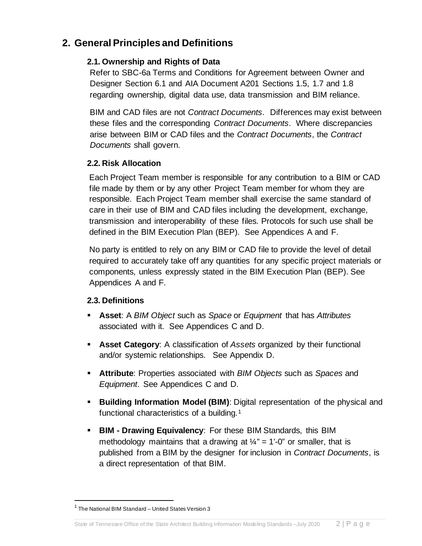### <span id="page-4-1"></span><span id="page-4-0"></span>**2. General Principles and Definitions**

#### **2.1. Ownership and Rights of Data**

Refer to SBC-6a Terms and Conditions for Agreement between Owner and Designer Section 6.1 and AIA Document A201 Sections 1.5, 1.7 and 1.8 regarding ownership, digital data use, data transmission and BIM reliance.

BIM and CAD files are not *Contract Documents*. Differences may exist between these files and the corresponding *Contract Documents*. Where discrepancies arise between BIM or CAD files and the *Contract Documents*, the *Contract Documents* shall govern.

#### <span id="page-4-2"></span>**2.2. Risk Allocation**

Each Project Team member is responsible for any contribution to a BIM or CAD file made by them or by any other Project Team member for whom they are responsible. Each Project Team member shall exercise the same standard of care in their use of BIM and CAD files including the development, exchange, transmission and interoperability of these files. Protocols for such use shall be defined in the BIM Execution Plan (BEP). See Appendices A and F.

No party is entitled to rely on any BIM or CAD file to provide the level of detail required to accurately take off any quantities for any specific project materials or components, unless expressly stated in the BIM Execution Plan (BEP). See Appendices A and F.

#### <span id="page-4-3"></span>**2.3. Definitions**

- **Asset**: A *BIM Object* such as *Space* or *Equipment* that has *Attributes* associated with it. See Appendices C and D.
- **Asset Category**: A classification of *Assets* organized by their functional and/or systemic relationships. See Appendix D.
- **Attribute**: Properties associated with *BIM Objects* such as *Spaces* and *Equipment*. See Appendices C and D.
- **Building Information Model (BIM)**: Digital representation of the physical and functional characteristics of a building.[1](#page-4-4)
- **BIM - Drawing Equivalency**: For these BIM Standards, this BIM methodology maintains that a drawing at  $\frac{1}{4}$ " = 1'-0" or smaller, that is published from a BIM by the designer for inclusion in *Contract Documents*, is a direct representation of that BIM.

<span id="page-4-4"></span> $1$  The National BIM Standard – United States Version 3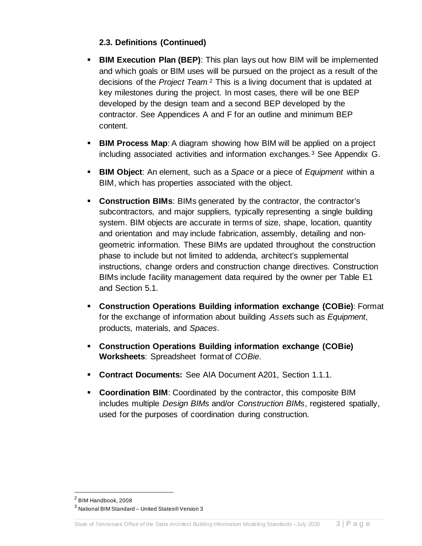#### **2.3. Definitions (Continued)**

- **BIM Execution Plan (BEP)**: This plan lays out how BIM will be implemented and which goals or BIM uses will be pursued on the project as a result of the decisions of the *Project Team*.[2](#page-5-0) This is a living document that is updated at key milestones during the project. In most cases, there will be one BEP developed by the design team and a second BEP developed by the contractor. See Appendices A and F for an outline and minimum BEP content.
- **BIM Process Map:** A diagram showing how BIM will be applied on a project including associated activities and information exchanges.<sup>[3](#page-5-1)</sup> See Appendix G.
- **BIM Object**: An element, such as a *Space* or a piece of *Equipment* within a BIM, which has properties associated with the object.
- **Construction BIMs:** BIMs generated by the contractor, the contractor's subcontractors, and major suppliers, typically representing a single building system. BIM objects are accurate in terms of size, shape, location, quantity and orientation and may include fabrication, assembly, detailing and nongeometric information. These BIMs are updated throughout the construction phase to include but not limited to addenda, architect's supplemental instructions, change orders and construction change directives. Construction BIMs include facility management data required by the owner per Table E1 and Section 5.1.
- **Construction Operations Building information exchange (COBie)**: Format for the exchange of information about building *Asset*s such as *Equipment*, products, materials, and *Spaces*.
- **Construction Operations Building information exchange (COBie) Worksheets**: Spreadsheet format of *COBie*.
- **Contract Documents:** See AIA Document A201, Section 1.1.1.
- **Coordination BIM**: Coordinated by the contractor, this composite BIM includes multiple *Design BIMs* and/or *Construction BIMs*, registered spatially, used for the purposes of coordination during construction.

<span id="page-5-0"></span><sup>2</sup> BIM Handbook, 2008

<span id="page-5-1"></span><sup>3</sup> National BIM Standard – United States® Version 3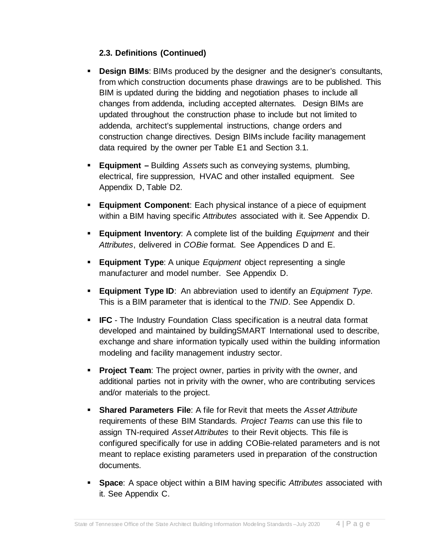#### **2.3. Definitions (Continued)**

- **Design BIMs**: BIMs produced by the designer and the designer's consultants, from which construction documents phase drawings are to be published. This BIM is updated during the bidding and negotiation phases to include all changes from addenda, including accepted alternates. Design BIMs are updated throughout the construction phase to include but not limited to addenda, architect's supplemental instructions, change orders and construction change directives. Design BIMs include facility management data required by the owner per Table E1 and Section 3.1.
- **Equipment –** Building *Assets* such as conveying systems, plumbing, electrical, fire suppression, HVAC and other installed equipment. See Appendix D, Table D2.
- **Equipment Component**: Each physical instance of a piece of equipment within a BIM having specific *Attributes* associated with it. See Appendix D.
- **Equipment Inventory**: A complete list of the building *Equipment* and their *Attributes*, delivered in *COBie* format. See Appendices D and E.
- **Equipment Type**: A unique *Equipment* object representing a single manufacturer and model number. See Appendix D.
- **Equipment Type ID**: An abbreviation used to identify an *Equipment Type*. This is a BIM parameter that is identical to the *TNID*. See Appendix D.
- **IFC**  The Industry Foundation Class specification is a neutral data format developed and maintained by buildingSMART International used to describe, exchange and share information typically used within the building information modeling and facility management industry sector.
- **Project Team:** The project owner, parties in privity with the owner, and additional parties not in privity with the owner, who are contributing services and/or materials to the project.
- **Shared Parameters File**: A file for Revit that meets the *Asset Attribute* requirements of these BIM Standards. *Project Teams* can use this file to assign TN-required *Asset Attributes* to their Revit objects. This file is configured specifically for use in adding COBie-related parameters and is not meant to replace existing parameters used in preparation of the construction documents.
- **Space**: A space object within a BIM having specific *Attributes* associated with it. See Appendix C.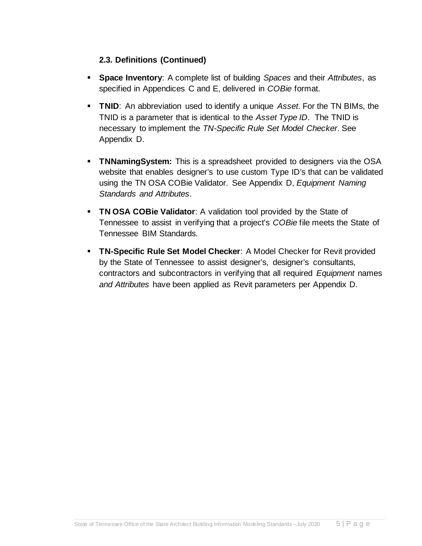#### **2.3. Definitions (Continued)**

- **Space Inventory**: A complete list of building *Spaces* and their *Attributes*, as specified in Appendices C and E, delivered in *COBie* format.
- **TNID**: An abbreviation used to identify a unique *Asset*. For the TN BIMs, the TNID is a parameter that is identical to the *Asset Type ID*. The TNID is necessary to implement the *TN-Specific Rule Set Model Checker*. See Appendix D.
- **TNNamingSystem:** This is a spreadsheet provided to designers via the OSA website that enables designer's to use custom Type ID's that can be validated using the TN OSA COBie Validator. See Appendix D, *Equipment Naming Standards and Attributes*.
- **TN OSA COBie Validator:** A validation tool provided by the State of Tennessee to assist in verifying that a project's *COBie* file meets the State of Tennessee BIM Standards.
- **TN-Specific Rule Set Model Checker**: A Model Checker for Revit provided by the State of Tennessee to assist designer's, designer's consultants, contractors and subcontractors in verifying that all required *Equipment* names *and Attributes* have been applied as Revit parameters per Appendix D.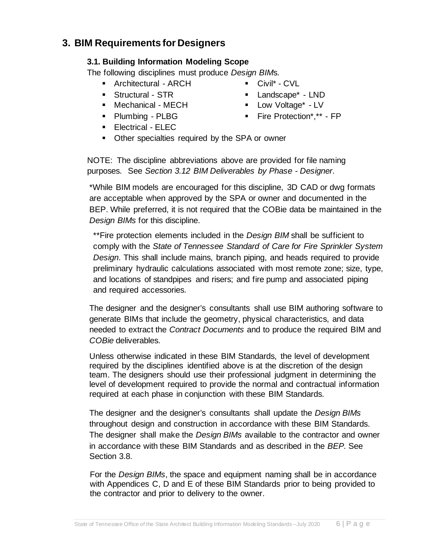### <span id="page-8-1"></span><span id="page-8-0"></span>**3. BIM Requirements for Designers**

#### **3.1. Building Information Modeling Scope**

The following disciplines must produce *Design BIM*s.

- **Architectural ARCH**
- **Structural STR**
- Mechanical MECH
- Plumbing PLBG
- **Electrical ELEC**
- Civil\* CVL
- Landscape\* LND
- **Low Voltage\* LV**
- **Fire Protection\*,\*\* FP**
- Other specialties required by the SPA or owner

NOTE: The discipline abbreviations above are provided for file naming purposes. See *Section 3.12 BIM Deliverables by Phase - Designer*.

\*While BIM models are encouraged for this discipline, 3D CAD or dwg formats are acceptable when approved by the SPA or owner and documented in the BEP. While preferred, it is not required that the COBie data be maintained in the *Design BIMs* for this discipline.

\*\*Fire protection elements included in the *Design BIM* shall be sufficient to comply with the *State of Tennessee Standard of Care for Fire Sprinkler System Design*. This shall include mains, branch piping, and heads required to provide preliminary hydraulic calculations associated with most remote zone; size, type, and locations of standpipes and risers; and fire pump and associated piping and required accessories.

The designer and the designer's consultants shall use BIM authoring software to generate BIMs that include the geometry, physical characteristics, and data needed to extract the *Contract Documents* and to produce the required BIM and *COBie* deliverables.

Unless otherwise indicated in these BIM Standards, the level of development required by the disciplines identified above is at the discretion of the design team. The designers should use their professional judgment in determining the level of development required to provide the normal and contractual information required at each phase in conjunction with these BIM Standards.

The designer and the designer's consultants shall update the *Design BIMs*  throughout design and construction in accordance with these BIM Standards. The designer shall make the *Design BIMs* available to the contractor and owner in accordance with these BIM Standards and as described in the *BEP.* See Section 3.8.

For the *Design BIMs*, the space and equipment naming shall be in accordance with Appendices C, D and E of these BIM Standards prior to being provided to the contractor and prior to delivery to the owner.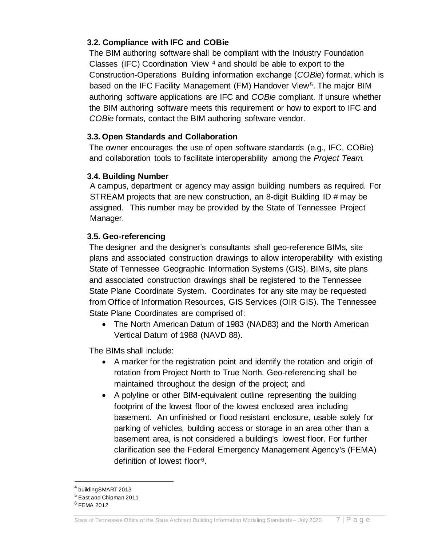#### <span id="page-9-0"></span>**3.2. Compliance with IFC and COBie**

<span id="page-9-8"></span><span id="page-9-7"></span>The BIM authoring software shall be compliant with the Industry Foundation Classes (IFC) Coordination View [4](#page-9-4) and should be able to export to the Construction-Operations Building information exchange (*COBie*) format, which is based on the IFC Facility Management (FM) Handover View<sup>[5](#page-9-5)</sup>. The major BIM authoring software applications are IFC and *COBie* compliant. If unsure whether the BIM authoring software meets this requirement or how to export to IFC and *COBie* formats, contact the BIM authoring software vendor.

#### <span id="page-9-1"></span>**3.3. Open Standards and Collaboration**

The owner encourages the use of open software standards (e.g., IFC, COBie) and collaboration tools to facilitate interoperability among the *Project Team.*

#### <span id="page-9-2"></span>**3.4. Building Number**

A campus, department or agency may assign building numbers as required. For STREAM projects that are new construction, an 8-digit Building ID # may be assigned. This number may be provided by the State of Tennessee Project Manager.

#### <span id="page-9-3"></span>**3.5. Geo-referencing**

The designer and the designer's consultants shall geo-reference BIMs, site plans and associated construction drawings to allow interoperability with existing State of Tennessee Geographic Information Systems (GIS). BIMs, site plans and associated construction drawings shall be registered to the Tennessee State Plane Coordinate System. Coordinates for any site may be requested from Office of Information Resources, GIS Services (OIR GIS). The Tennessee State Plane Coordinates are comprised of:

• The North American Datum of 1983 (NAD83) and the North American Vertical Datum of 1988 (NAVD 88).

The BIMs shall include:

- A marker for the registration point and identify the rotation and origin of rotation from Project North to True North. Geo-referencing shall be maintained throughout the design of the project; and
- A polyline or other BIM-equivalent outline representing the building footprint of the lowest floor of the lowest enclosed area including basement. An unfinished or flood resistant enclosure, usable solely for parking of vehicles, building access or storage in an area other than a basement area, is not considered a building's lowest floor. For further clarification see the Federal Emergency Management Agency's (FEMA) definition of lowest floor[6](#page-9-6).

<sup>4</sup> buildingSMART 2013

<span id="page-9-6"></span><span id="page-9-5"></span><span id="page-9-4"></span><sup>5</sup> East and Chipman 2011

 $6$  FEMA 2012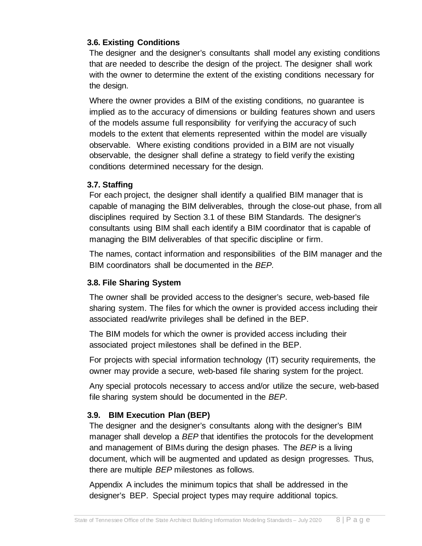#### <span id="page-10-0"></span>**3.6. Existing Conditions**

The designer and the designer's consultants shall model any existing conditions that are needed to describe the design of the project. The designer shall work with the owner to determine the extent of the existing conditions necessary for the design.

Where the owner provides a BIM of the existing conditions, no guarantee is implied as to the accuracy of dimensions or building features shown and users of the models assume full responsibility for verifying the accuracy of such models to the extent that elements represented within the model are visually observable. Where existing conditions provided in a BIM are not visually observable, the designer shall define a strategy to field verify the existing conditions determined necessary for the design.

#### **3.7. Staffing**

<span id="page-10-1"></span>For each project, the designer shall identify a qualified BIM manager that is capable of managing the BIM deliverables, through the close-out phase, from all disciplines required by Section 3.1 of these BIM Standards. The designer's consultants using BIM shall each identify a BIM coordinator that is capable of managing the BIM deliverables of that specific discipline or firm.

The names, contact information and responsibilities of the BIM manager and the BIM coordinators shall be documented in the *BEP.*

#### <span id="page-10-2"></span>**3.8. File Sharing System**

The owner shall be provided access to the designer's secure, web-based file sharing system. The files for which the owner is provided access including their associated read/write privileges shall be defined in the BEP.

The BIM models for which the owner is provided access including their associated project milestones shall be defined in the BEP.

For projects with special information technology (IT) security requirements, the owner may provide a secure, web-based file sharing system for the project.

<span id="page-10-3"></span>Any special protocols necessary to access and/or utilize the secure, web-based file sharing system should be documented in the *BEP*.

#### **3.9. BIM Execution Plan (BEP)**

The designer and the designer's consultants along with the designer's BIM manager shall develop a *BEP* that identifies the protocols for the development and management of BIMs during the design phases. The *BEP* is a living document, which will be augmented and updated as design progresses. Thus, there are multiple *BEP* milestones as follows.

Appendix A includes the minimum topics that shall be addressed in the designer's BEP. Special project types may require additional topics.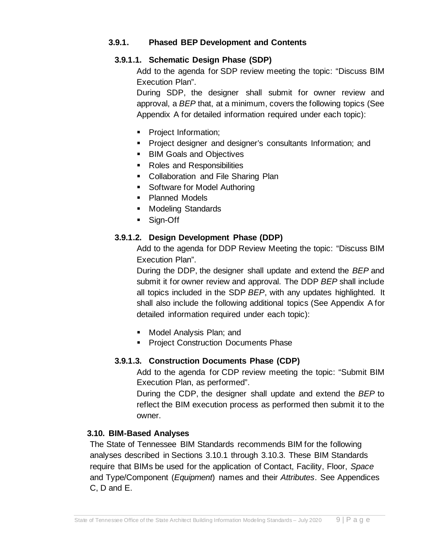#### **3.9.1. Phased BEP Development and Contents**

#### **3.9.1.1. Schematic Design Phase (SDP)**

Add to the agenda for SDP review meeting the topic: "Discuss BIM Execution Plan".

During SDP, the designer shall submit for owner review and approval, a *BEP* that, at a minimum, covers the following topics (See Appendix A for detailed information required under each topic):

- **Project Information;**
- **Project designer and designer's consultants Information; and**
- BIM Goals and Objectives
- Roles and Responsibilities
- Collaboration and File Sharing Plan
- Software for Model Authoring
- **Planned Models**
- **Modeling Standards**
- Sign-Off

#### **3.9.1.2. Design Development Phase (DDP)**

Add to the agenda for DDP Review Meeting the topic: "Discuss BIM Execution Plan".

During the DDP, the designer shall update and extend the *BEP* and submit it for owner review and approval. The DDP *BEP* shall include all topics included in the SDP *BEP*, with any updates highlighted. It shall also include the following additional topics (See Appendix A for detailed information required under each topic):

- **Model Analysis Plan; and**
- **Project Construction Documents Phase**

#### **3.9.1.3. Construction Documents Phase (CDP)**

Add to the agenda for CDP review meeting the topic: "Submit BIM Execution Plan, as performed".

During the CDP, the designer shall update and extend the *BEP* to reflect the BIM execution process as performed then submit it to the owner.

#### <span id="page-11-0"></span>**3.10. BIM-Based Analyses**

The State of Tennessee BIM Standards recommends BIM for the following analyses described in Sections 3.10.1 through 3.10.3. These BIM Standards require that BIMs be used for the application of Contact, Facility, Floor, *Space* and Type/Component (*Equipment*) names and their *Attributes*. See Appendices C, D and E.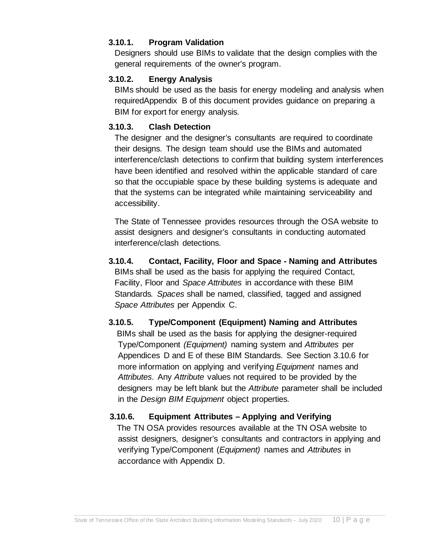#### **3.10.1. Program Validation**

Designers should use BIMs to validate that the design complies with the general requirements of the owner's program.

#### **3.10.2. Energy Analysis**

BIMs should be used as the basis for energy modeling and analysis when requiredAppendix B of this document provides guidance on preparing a BIM for export for energy analysis.

#### **3.10.3. Clash Detection**

The designer and the designer's consultants are required to coordinate their designs. The design team should use the BIMs and automated interference/clash detections to confirm that building system interferences have been identified and resolved within the applicable standard of care so that the occupiable space by these building systems is adequate and that the systems can be integrated while maintaining serviceability and accessibility.

The State of Tennessee provides resources through the OSA website to assist designers and designer's consultants in conducting automated interference/clash detections.

#### **3.10.4. Contact, Facility, Floor and Space - Naming and Attributes** BIMs shall be used as the basis for applying the required Contact, Facility, Floor and *Space Attributes* in accordance with these BIM Standards*. Spaces* shall be named, classified, tagged and assigned *Space Attributes* per Appendix C.

#### **3.10.5. Type/Component (Equipment) Naming and Attributes** BIMs shall be used as the basis for applying the designer-required

Type/Component *(Equipment)* naming system and *Attributes* per Appendices D and E of these BIM Standards. See Section 3.10.6 for more information on applying and verifying *Equipment* names and *Attributes.* Any *Attribute* values not required to be provided by the designers may be left blank but the *Attribute* parameter shall be included in the *Design BIM Equipment* object properties.

#### **3.10.6. Equipment Attributes – Applying and Verifying**

The TN OSA provides resources available at the TN OSA website to assist designers, designer's consultants and contractors in applying and verifying Type/Component (*Equipment)* names and *Attributes* in accordance with Appendix D.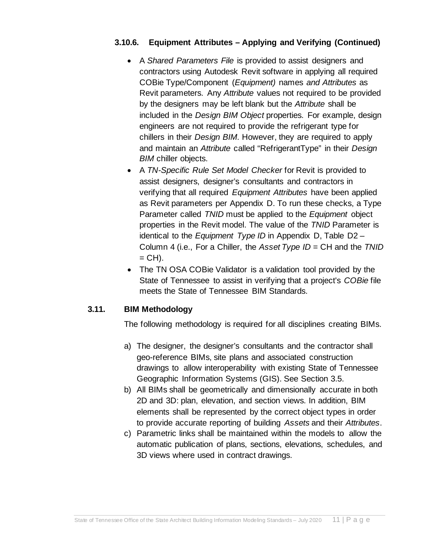#### **3.10.6. Equipment Attributes – Applying and Verifying (Continued)**

- A *Shared Parameters File* is provided to assist designers and contractors using Autodesk Revit software in applying all required COBie Type/Component (*Equipment)* names *and Attributes* as Revit parameters. Any *Attribute* values not required to be provided by the designers may be left blank but the *Attribute* shall be included in the *Design BIM Object* properties. For example, design engineers are not required to provide the refrigerant type for chillers in their *Design BIM*. However, they are required to apply and maintain an *Attribute* called "RefrigerantType" in their *Design BIM* chiller objects.
- A *TN-Specific Rule Set Model Checker* for Revit is provided to assist designers, designer's consultants and contractors in verifying that all required *Equipment Attributes* have been applied as Revit parameters per Appendix D. To run these checks, a Type Parameter called *TNID* must be applied to the *Equipment* object properties in the Revit model. The value of the *TNID* Parameter is identical to the *Equipment Type ID* in Appendix D, Table D2 – Column 4 (i.e., For a Chiller, the *Asset Type ID* = CH and the *TNID*  $=$  CH $)$ .
- The TN OSA COBie Validator is a validation tool provided by the State of Tennessee to assist in verifying that a project's *COBie* file meets the State of Tennessee BIM Standards.

#### <span id="page-13-0"></span>**3.11. BIM Methodology**

The following methodology is required for all disciplines creating BIMs.

- a) The designer, the designer's consultants and the contractor shall geo-reference BIMs, site plans and associated construction drawings to allow interoperability with existing State of Tennessee Geographic Information Systems (GIS). See Section 3.5.
- b) All BIMs shall be geometrically and dimensionally accurate in both 2D and 3D: plan, elevation, and section views. In addition, BIM elements shall be represented by the correct object types in order to provide accurate reporting of building *Assets* and their *Attributes*.
- c) Parametric links shall be maintained within the models to allow the automatic publication of plans, sections, elevations, schedules, and 3D views where used in contract drawings.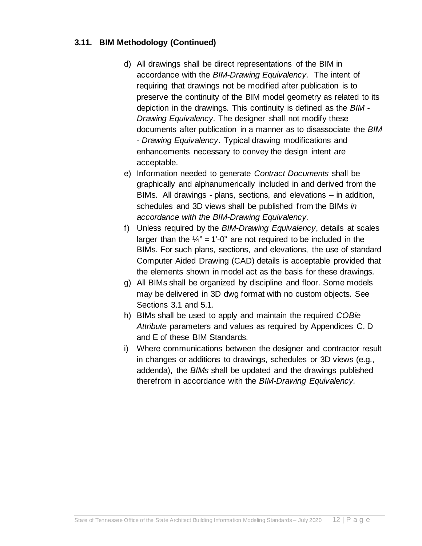#### **3.11. BIM Methodology (Continued)**

- d) All drawings shall be direct representations of the BIM in accordance with the *BIM-Drawing Equivalency.* The intent of requiring that drawings not be modified after publication is to preserve the continuity of the BIM model geometry as related to its depiction in the drawings. This continuity is defined as the *BIM - Drawing Equivalency.* The designer shall not modify these documents after publication in a manner as to disassociate the *BIM - Drawing Equivalency*. Typical drawing modifications and enhancements necessary to convey the design intent are acceptable.
- e) Information needed to generate *Contract Documents* shall be graphically and alphanumerically included in and derived from the BIMs. All drawings - plans, sections, and elevations – in addition, schedules and 3D views shall be published from the BIMs *in accordance with the BIM-Drawing Equivalency.*
- f) Unless required by the *BIM-Drawing Equivalency*, details at scales larger than the  $\frac{1}{4}$ " = 1'-0" are not required to be included in the BIMs. For such plans, sections, and elevations, the use of standard Computer Aided Drawing (CAD) details is acceptable provided that the elements shown in model act as the basis for these drawings.
- g) All BIMs shall be organized by discipline and floor. Some models may be delivered in 3D dwg format with no custom objects. See Sections 3.1 and 5.1.
- h) BIMs shall be used to apply and maintain the required *COBie Attribute* parameters and values as required by Appendices C, D and E of these BIM Standards.
- i) Where communications between the designer and contractor result in changes or additions to drawings, schedules or 3D views (e.g., addenda), the *BIMs* shall be updated and the drawings published therefrom in accordance with the *BIM-Drawing Equivalency.*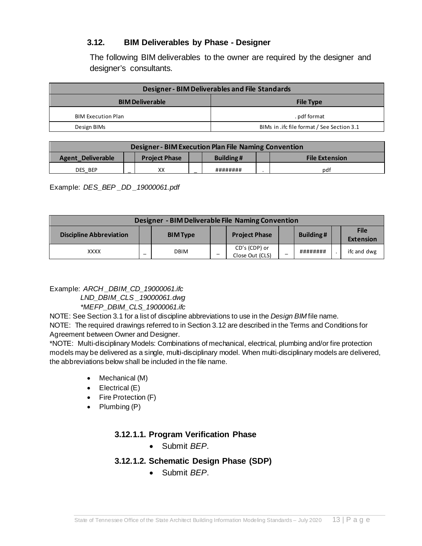#### <span id="page-15-0"></span>**3.12. BIM Deliverables by Phase - Designer**

The following BIM deliverables to the owner are required by the designer and designer's consultants.

| Designer - BIM Deliverables and File Standards |                                            |  |  |  |  |  |
|------------------------------------------------|--------------------------------------------|--|--|--|--|--|
| <b>BIM Deliverable</b><br><b>File Type</b>     |                                            |  |  |  |  |  |
| <b>BIM Execution Plan</b>                      | . pdf format                               |  |  |  |  |  |
| Design BIMs                                    | BIMs in .ifc file format / See Section 3.1 |  |  |  |  |  |

| <b>Designer - BIM Execution Plan File Naming Convention</b>                     |  |    |  |          |  |     |  |  |
|---------------------------------------------------------------------------------|--|----|--|----------|--|-----|--|--|
| Building#<br>Agent Deliverable<br><b>Project Phase</b><br><b>File Extension</b> |  |    |  |          |  |     |  |  |
| DES BEP                                                                         |  | xх |  | ######## |  | pdf |  |  |

Example: *DES\_BEP \_DD \_19000061.pdf*

| <b>Designer - BIM Deliverable File Naming Convention</b> |   |                 |   |                                  |   |                  |  |                                 |
|----------------------------------------------------------|---|-----------------|---|----------------------------------|---|------------------|--|---------------------------------|
| <b>Discipline Abbreviation</b>                           |   | <b>BIM Type</b> |   | <b>Project Phase</b>             |   | <b>Building#</b> |  | <b>File</b><br><b>Extension</b> |
| <b>XXXX</b>                                              | - | <b>DBIM</b>     | - | CD's (CDP) or<br>Close Out (CLS) | _ | ########         |  | ifc and dwg                     |

Example: *ARCH \_DBIM\_CD\_19000061.ifc LND\_DBIM\_CLS \_19000061.dwg \*MEFP\_DBIM\_CLS\_19000061.ifc*

NOTE: See Section 3.1 for a list of discipline abbreviations to use in the *Design BIM* file name. NOTE: The required drawings referred to in Section 3.12 are described in the Terms and Conditions for

Agreement between Owner and Designer.

\*NOTE: Multi-disciplinary Models: Combinations of mechanical, electrical, plumbing and/or fire protection models may be delivered as a single, multi-disciplinary model. When multi-disciplinary models are delivered, the abbreviations below shall be included in the file name.

- Mechanical (M)
- Electrical (E)
- Fire Protection (F)
- Plumbing (P)

#### **3.12.1.1. Program Verification Phase**

• Submit *BEP*.

#### **3.12.1.2. Schematic Design Phase (SDP)**

• Submit *BEP*.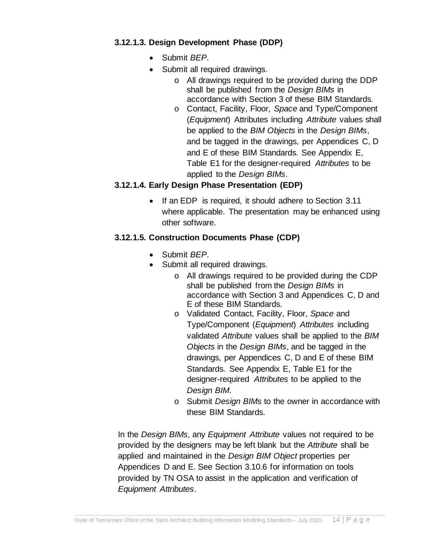#### **3.12.1.3. Design Development Phase (DDP)**

- Submit *BEP*.
- Submit all required drawings.
	- o All drawings required to be provided during the DDP shall be published from the *Design BIMs* in accordance with Section 3 of these BIM Standards.
	- o Contact, Facility, Floor, *Space* and Type/Component (*Equipment*) Attributes including *Attribute* values shall be applied to the *BIM Objects* in the *Design BIMs*, and be tagged in the drawings, per Appendices C, D and E of these BIM Standards. See Appendix E, Table E1 for the designer-required *Attributes* to be applied to the *Design BIMs*.

#### **3.12.1.4. Early Design Phase Presentation (EDP)**

• If an EDP is required, it should adhere to Section 3.11 where applicable. The presentation may be enhanced using other software.

#### **3.12.1.5. Construction Documents Phase (CDP)**

- Submit *BEP*.
- Submit all required drawings.
	- o All drawings required to be provided during the CDP shall be published from the *Design BIMs* in accordance with Section 3 and Appendices C, D and E of these BIM Standards.
	- o Validated Contact, Facility, Floor, *Space* and Type/Component (*Equipment*) *Attributes* including validated *Attribute* values shall be applied to the *BIM Objects* in the *Design BIMs*, and be tagged in the drawings, per Appendices C, D and E of these BIM Standards. See Appendix E, Table E1 for the designer-required *Attributes* to be applied to the *Design BIM*.
	- o Submit *Design BIMs* to the owner in accordance with these BIM Standards.

In the *Design BIMs,* any *Equipment Attribute* values not required to be provided by the designers may be left blank but the *Attribute* shall be applied and maintained in the *Design BIM Object* properties per Appendices D and E. See Section 3.10.6 for information on tools provided by TN OSA to assist in the application and verification of *Equipment Attributes*.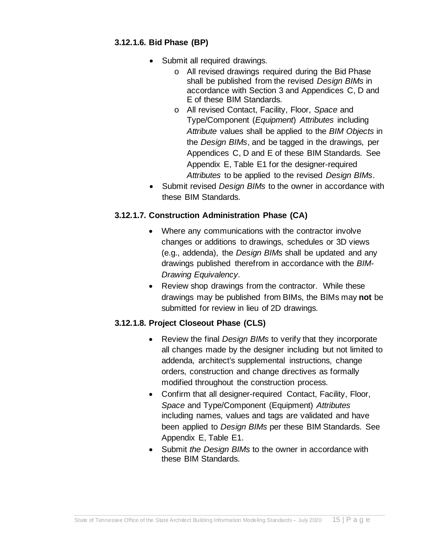#### **3.12.1.6. Bid Phase (BP)**

- Submit all required drawings.
	- o All revised drawings required during the Bid Phase shall be published from the revised *Design BIMs* in accordance with Section 3 and Appendices C, D and E of these BIM Standards.
	- o All revised Contact, Facility, Floor, *Space* and Type/Component (*Equipment*) *Attributes* including *Attribute* values shall be applied to the *BIM Objects* in the *Design BIMs*, and be tagged in the drawings, per Appendices C, D and E of these BIM Standards. See Appendix E, Table E1 for the designer-required *Attributes* to be applied to the revised *Design BIMs*.
- Submit revised *Design BIMs* to the owner in accordance with these BIM Standards.

#### **3.12.1.7. Construction Administration Phase (CA)**

- Where any communications with the contractor involve changes or additions to drawings, schedules or 3D views (e.g., addenda), the *Design BIMs* shall be updated and any drawings published therefrom in accordance with the *BIM-Drawing Equivalency.*
- Review shop drawings from the contractor. While these drawings may be published from BIMs, the BIMs may **not** be submitted for review in lieu of 2D drawings.

#### **3.12.1.8. Project Closeout Phase (CLS)**

- Review the final *Design BIMs* to verify that they incorporate all changes made by the designer including but not limited to addenda, architect's supplemental instructions, change orders, construction and change directives as formally modified throughout the construction process.
- Confirm that all designer-required Contact, Facility, Floor, *Space* and Type/Component (Equipment) *Attributes* including names, values and tags are validated and have been applied to *Design BIMs* per these BIM Standards. See Appendix E, Table E1.
- Submit *the Design BIMs* to the owner in accordance with these BIM Standards.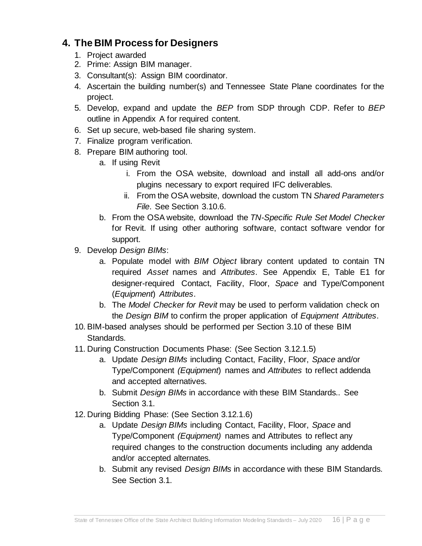### <span id="page-18-0"></span>**4. The BIM Process for Designers**

- 1. Project awarded
- 2. Prime: Assign BIM manager.
- 3. Consultant(s): Assign BIM coordinator.
- 4. Ascertain the building number(s) and Tennessee State Plane coordinates for the project.
- 5. Develop, expand and update the *BEP* from SDP through CDP. Refer to *BEP* outline in Appendix A for required content.
- 6. Set up secure, web-based file sharing system.
- 7. Finalize program verification.
- 8. Prepare BIM authoring tool.
	- a. If using Revit
		- i. From the OSA website, download and install all add-ons and/or plugins necessary to export required IFC deliverables.
		- ii. From the OSA website, download the custom TN *Shared Parameters File*. See Section 3.10.6.
	- b. From the OSA website, download the *TN-Specific Rule Set Model Checker*  for Revit. If using other authoring software, contact software vendor for support.
- 9. Develop *Design BIMs*:
	- a. Populate model with *BIM Object* library content updated to contain TN required *Asset* names and *Attributes*. See Appendix E, Table E1 for designer-required Contact, Facility, Floor, *Space* and Type/Component (*Equipment*) *Attributes*.
	- b. The *Model Checker for Revit* may be used to perform validation check on the *Design BIM* to confirm the proper application of *Equipment Attributes*.
- 10. BIM-based analyses should be performed per Section 3.10 of these BIM Standards.
- 11. During Construction Documents Phase: (See Section 3.12.1.5)
	- a. Update *Design BIMs* including Contact, Facility, Floor, *Space* and/or Type/Component *(Equipment*) names and *Attributes* to reflect addenda and accepted alternatives.
	- b. Submit *Design BIMs* in accordance with these BIM Standards.. See Section 3.1.
- 12. During Bidding Phase: (See Section 3.12.1.6)
	- a. Update *Design BIMs* including Contact, Facility, Floor, *Space* and Type/Component *(Equipment)* names and Attributes to reflect any required changes to the construction documents including any addenda and/or accepted alternates.
	- b. Submit any revised *Design BIMs* in accordance with these BIM Standards. See Section 3.1.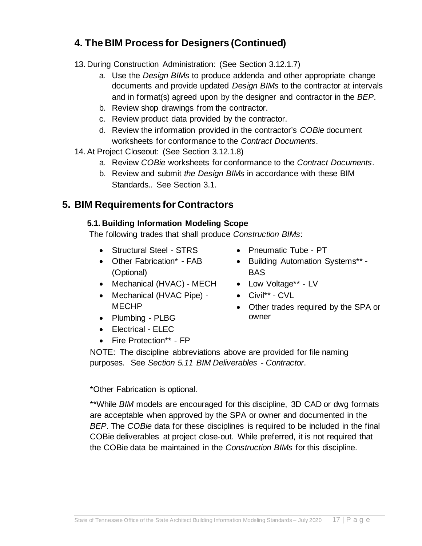### **4. The BIM Process for Designers (Continued)**

- 13. During Construction Administration: (See Section 3.12.1.7)
	- a. Use the *Design BIMs* to produce addenda and other appropriate change documents and provide updated *Design BIMs* to the contractor at intervals and in format(s) agreed upon by the designer and contractor in the *BEP*.
	- b. Review shop drawings from the contractor.
	- c. Review product data provided by the contractor.
	- d. Review the information provided in the contractor's *COBie* document worksheets for conformance to the *Contract Documents*.
- 14. At Project Closeout: (See Section 3.12.1.8)
	- a. Review *COBie* worksheets for conformance to the *Contract Documents*.
	- b. Review and submit *the Design BIMs* in accordance with these BIM Standards.. See Section 3.1.

### <span id="page-19-1"></span><span id="page-19-0"></span>**5. BIM Requirements for Contractors**

#### **5.1. Building Information Modeling Scope**

The following trades that shall produce *Construction BIMs*:

- Structural Steel STRS
- Other Fabrication\* FAB (Optional)
- Mechanical (HVAC) MECH
- Mechanical (HVAC Pipe) MECHP
- Plumbing PLBG
- Electrical ELEC
- Fire Protection\*\* FP
- Pneumatic Tube PT
- Building Automation Systems\*\* BAS
- Low Voltage\*\* LV
	- Civil\*\* CVL
	- Other trades required by the SPA or owner
- NOTE: The discipline abbreviations above are provided for file naming purposes. See *Section 5.11 BIM Deliverables - Contractor*.

#### \*Other Fabrication is optional.

\*\*While *BIM* models are encouraged for this discipline, 3D CAD or dwg formats are acceptable when approved by the SPA or owner and documented in the *BEP*. The *COBie* data for these disciplines is required to be included in the final COBie deliverables at project close-out. While preferred, it is not required that the COBie data be maintained in the *Construction BIMs* for this discipline.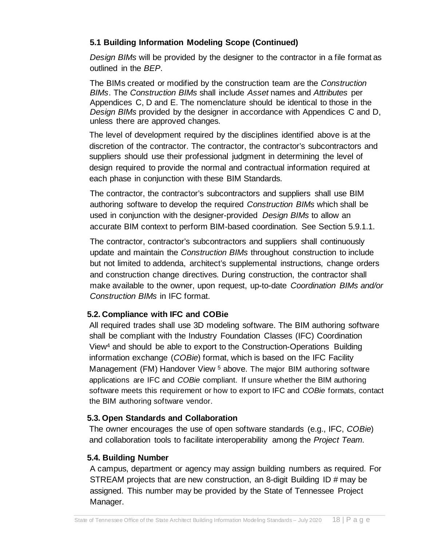#### **5.1 Building Information Modeling Scope (Continued)**

*Design BIMs* will be provided by the designer to the contractor in a file format as outlined in the *BEP*.

The BIMs created or modified by the construction team are the *Construction BIMs*. The *Construction BIMs* shall include *Asset* names and *Attributes* per Appendices C, D and E. The nomenclature should be identical to those in the *Design BIMs* provided by the designer in accordance with Appendices C and D, unless there are approved changes.

The level of development required by the disciplines identified above is at the discretion of the contractor. The contractor, the contractor's subcontractors and suppliers should use their professional judgment in determining the level of design required to provide the normal and contractual information required at each phase in conjunction with these BIM Standards.

The contractor, the contractor's subcontractors and suppliers shall use BIM authoring software to develop the required *Construction BIMs* which shall be used in conjunction with the designer-provided *Design BIMs* to allow an accurate BIM context to perform BIM-based coordination. See Section 5.9.1.1.

The contractor, contractor's subcontractors and suppliers shall continuously update and maintain the *Construction BIMs* throughout construction to include but not limited to addenda, architect's supplemental instructions, change orders and construction change directives. During construction, the contractor shall make available to the owner, upon request, up-to-date *Coordination BIMs and/or Construction BIMs* in IFC format.

#### <span id="page-20-0"></span>**5.2. Compliance with IFC and COBie**

All required trades shall use 3D modeling software. The BIM authoring software shall be compliant with the Industry Foundation Classes (IFC) Coordination Vie[w4](#page-9-7) and should be able to export to the Construction-Operations Building information exchange (*COBie*) format, which is based on the IFC Facility Management (FM) Handover View <sup>5</sup> [above.](#page-9-8) The major BIM authoring software applications are IFC and *COBie* compliant. If unsure whether the BIM authoring software meets this requirement or how to export to IFC and *COBie* formats, contact the BIM authoring software vendor.

#### <span id="page-20-1"></span>**5.3. Open Standards and Collaboration**

The owner encourages the use of open software standards (e.g., IFC, *COBie*) and collaboration tools to facilitate interoperability among the *Project Team*.

#### <span id="page-20-3"></span><span id="page-20-2"></span>**5.4. Building Number**

A campus, department or agency may assign building numbers as required. For STREAM projects that are new construction, an 8-digit Building ID # may be assigned. This number may be provided by the State of Tennessee Project Manager.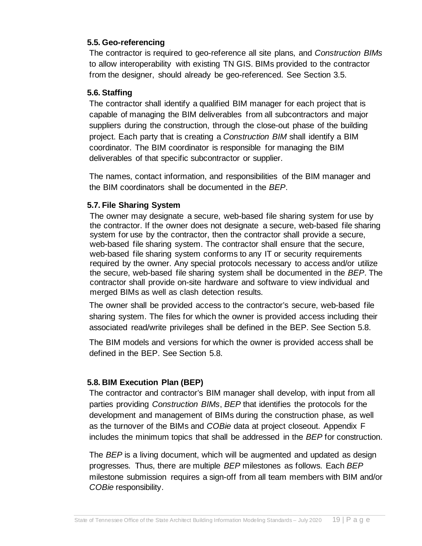#### **5.5. Geo-referencing**

The contractor is required to geo-reference all site plans, and *Construction BIMs*  to allow interoperability with existing TN GIS. BIMs provided to the contractor from the designer, should already be geo-referenced. See Section 3.5.

#### <span id="page-21-0"></span>**5.6. Staffing**

The contractor shall identify a qualified BIM manager for each project that is capable of managing the BIM deliverables from all subcontractors and major suppliers during the construction, through the close-out phase of the building project. Each party that is creating a *Construction BIM* shall identify a BIM coordinator. The BIM coordinator is responsible for managing the BIM deliverables of that specific subcontractor or supplier.

The names, contact information, and responsibilities of the BIM manager and the BIM coordinators shall be documented in the *BEP*.

#### <span id="page-21-1"></span>**5.7. File Sharing System**

The owner may designate a secure, web-based file sharing system for use by the contractor. If the owner does not designate a secure, web-based file sharing system for use by the contractor, then the contractor shall provide a secure, web-based file sharing system. The contractor shall ensure that the secure, web-based file sharing system conforms to any IT or security requirements required by the owner. Any special protocols necessary to access and/or utilize the secure, web-based file sharing system shall be documented in the *BEP*. The contractor shall provide on-site hardware and software to view individual and merged BIMs as well as clash detection results.

The owner shall be provided access to the contractor's secure, web-based file sharing system. The files for which the owner is provided access including their associated read/write privileges shall be defined in the BEP. See Section 5.8.

The BIM models and versions for which the owner is provided access shall be defined in the BEP. See Section 5.8.

#### <span id="page-21-2"></span>**5.8. BIM Execution Plan (BEP)**

The contractor and contractor's BIM manager shall develop, with input from all parties providing *Construction BIMs*, *BEP* that identifies the protocols for the development and management of BIMs during the construction phase, as well as the turnover of the BIMs and *COBie* data at project closeout. Appendix F includes the minimum topics that shall be addressed in the *BEP* for construction.

The *BEP* is a living document, which will be augmented and updated as design progresses. Thus, there are multiple *BEP* milestones as follows. Each *BEP* milestone submission requires a sign-off from all team members with BIM and/or *COBie* responsibility.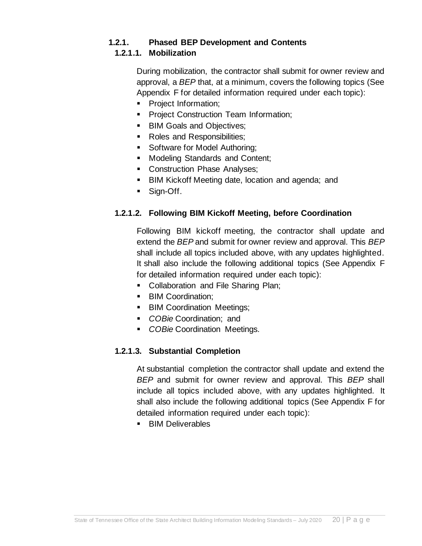#### **1.2.1. Phased BEP Development and Contents**

#### **1.2.1.1. Mobilization**

During mobilization, the contractor shall submit for owner review and approval, a *BEP* that, at a minimum, covers the following topics (See Appendix F for detailed information required under each topic):

- **Project Information;**
- **Project Construction Team Information;**
- **BIM Goals and Objectives;**
- Roles and Responsibilities;
- **Software for Model Authoring;**
- Modeling Standards and Content;
- **Construction Phase Analyses;**
- **BIM Kickoff Meeting date, location and agenda; and**
- Sign-Off.

#### **1.2.1.2. Following BIM Kickoff Meeting, before Coordination**

Following BIM kickoff meeting, the contractor shall update and extend the *BEP* and submit for owner review and approval. This *BEP* shall include all topics included above, with any updates highlighted. It shall also include the following additional topics (See Appendix F for detailed information required under each topic):

- Collaboration and File Sharing Plan;
- **BIM Coordination;**
- **BIM Coordination Meetings;**
- *COBie* Coordination; and
- **COBie Coordination Meetings.**

#### **1.2.1.3. Substantial Completion**

At substantial completion the contractor shall update and extend the *BEP* and submit for owner review and approval. This *BEP* shall include all topics included above, with any updates highlighted. It shall also include the following additional topics (See Appendix F for detailed information required under each topic):

**BIM Deliverables**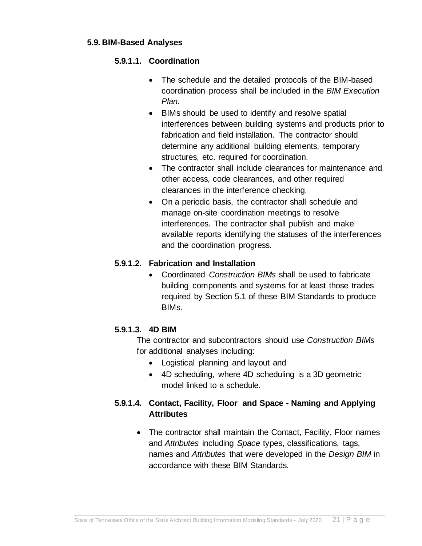#### <span id="page-23-0"></span>**5.9. BIM-Based Analyses**

#### **5.9.1.1. Coordination**

- The schedule and the detailed protocols of the BIM-based coordination process shall be included in the *BIM Execution Plan*.
- BIMs should be used to identify and resolve spatial interferences between building systems and products prior to fabrication and field installation. The contractor should determine any additional building elements, temporary structures, etc. required for coordination.
- The contractor shall include clearances for maintenance and other access, code clearances, and other required clearances in the interference checking.
- On a periodic basis, the contractor shall schedule and manage on-site coordination meetings to resolve interferences. The contractor shall publish and make available reports identifying the statuses of the interferences and the coordination progress.

#### **5.9.1.2. Fabrication and Installation**

• Coordinated *Construction BIMs* shall be used to fabricate building components and systems for at least those trades required by Section 5.1 of these BIM Standards to produce BIMs.

#### **5.9.1.3. 4D BIM**

The contractor and subcontractors should use *Construction BIMs* for additional analyses including:

- Logistical planning and layout and
- 4D scheduling, where 4D scheduling is a 3D geometric model linked to a schedule.

#### **5.9.1.4. Contact, Facility, Floor and Space - Naming and Applying Attributes**

• The contractor shall maintain the Contact, Facility, Floor names and *Attributes* including *Space* types, classifications, tags, names and *Attributes* that were developed in the *Design BIM* in accordance with these BIM Standards.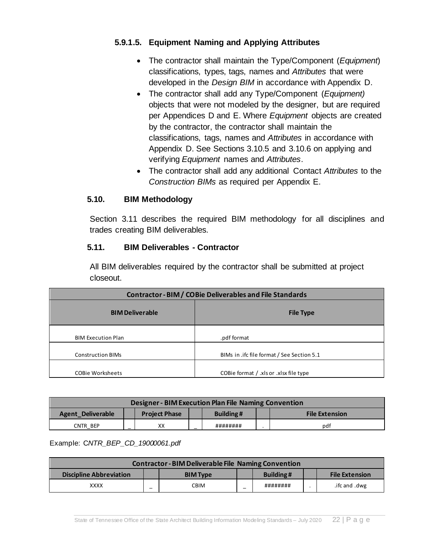#### **5.9.1.5. Equipment Naming and Applying Attributes**

- The contractor shall maintain the Type/Component (*Equipment*) classifications, types, tags, names and *Attributes* that were developed in the *Design BIM* in accordance with Appendix D.
- The contractor shall add any Type/Component (*Equipment)* objects that were not modeled by the designer, but are required per Appendices D and E. Where *Equipment* objects are created by the contractor, the contractor shall maintain the classifications, tags, names and *Attributes* in accordance with Appendix D. See Sections 3.10.5 and 3.10.6 on applying and verifying *Equipment* names and *Attributes*.
- The contractor shall add any additional Contact *Attributes* to the *Construction BIMs* as required per Appendix E.

#### <span id="page-24-0"></span>**5.10. BIM Methodology**

Section 3.11 describes the required BIM methodology for all disciplines and trades creating BIM deliverables.

#### <span id="page-24-1"></span>**5.11. BIM Deliverables - Contractor**

All BIM deliverables required by the contractor shall be submitted at project closeout.

| <b>Contractor-BIM/COBie Deliverables and File Standards</b> |                                            |  |  |  |  |  |
|-------------------------------------------------------------|--------------------------------------------|--|--|--|--|--|
| <b>BIM Deliverable</b>                                      | <b>File Type</b>                           |  |  |  |  |  |
| <b>BIM Execution Plan</b>                                   | .pdf format                                |  |  |  |  |  |
| <b>Construction BIMs</b>                                    | BIMs in .ifc file format / See Section 5.1 |  |  |  |  |  |
| <b>COBie Worksheets</b>                                     | COBie format / .xls or .xlsx file type     |  |  |  |  |  |

| Designer - BIM Execution Plan File Naming Convention                            |   |    |  |          |  |     |  |  |
|---------------------------------------------------------------------------------|---|----|--|----------|--|-----|--|--|
| Building#<br>Agent Deliverable<br><b>Project Phase</b><br><b>File Extension</b> |   |    |  |          |  |     |  |  |
| CNTR BEP                                                                        | _ | XХ |  | ######## |  | pdf |  |  |

#### Example: C*NTR\_BEP\_CD\_19000061.pdf*

| <b>Contractor - BIM Deliverable File Naming Convention</b> |   |                 |   |           |  |                       |
|------------------------------------------------------------|---|-----------------|---|-----------|--|-----------------------|
| <b>Discipline Abbreviation</b>                             |   | <b>BIM Type</b> |   | Building# |  | <b>File Extension</b> |
| xxxx                                                       | - | <b>CBIM</b>     | - | ########  |  | .ifc and .dwg         |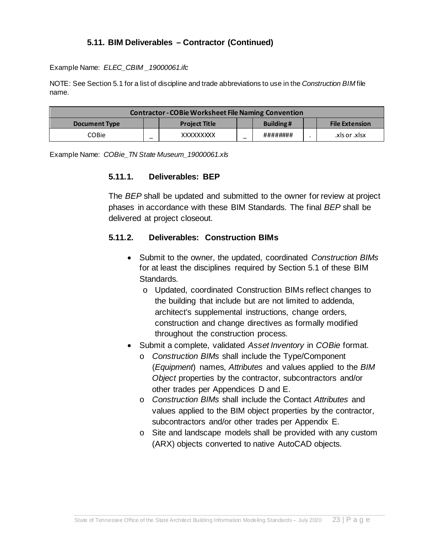#### **5.11. BIM Deliverables – Contractor (Continued)**

Example Name: *ELEC\_CBIM \_19000061.ifc*

NOTE: See Section 5.1 for a list of discipline and trade abbreviations to use in the *Construction BIM* file name.

| <b>Contractor - COBie Worksheet File Naming Convention</b> |  |                      |   |                  |  |                       |
|------------------------------------------------------------|--|----------------------|---|------------------|--|-----------------------|
| <b>Document Type</b>                                       |  | <b>Project Title</b> |   | <b>Building#</b> |  | <b>File Extension</b> |
| COBie                                                      |  | XXXXXXXX             | _ | ########         |  | xls or .xlsx.         |

Example Name: *COBie\_TN State Museum\_19000061.xls*

#### **5.11.1. Deliverables: BEP**

The *BEP* shall be updated and submitted to the owner for review at project phases in accordance with these BIM Standards. The final *BEP* shall be delivered at project closeout.

#### **5.11.2. Deliverables: Construction BIMs**

- Submit to the owner, the updated, coordinated *Construction BIMs* for at least the disciplines required by Section 5.1 of these BIM Standards.
	- o Updated, coordinated Construction BIMs reflect changes to the building that include but are not limited to addenda, architect's supplemental instructions, change orders, construction and change directives as formally modified throughout the construction process.
- Submit a complete, validated *Asset Inventory* in *COBie* format.
	- o *Construction BIMs* shall include the Type/Component (*Equipment*) names, *Attributes* and values applied to the *BIM Object* properties by the contractor, subcontractors and/or other trades per Appendices D and E.
	- o *Construction BIMs* shall include the Contact *Attributes* and values applied to the BIM object properties by the contractor, subcontractors and/or other trades per Appendix E.
	- o Site and landscape models shall be provided with any custom (ARX) objects converted to native AutoCAD objects.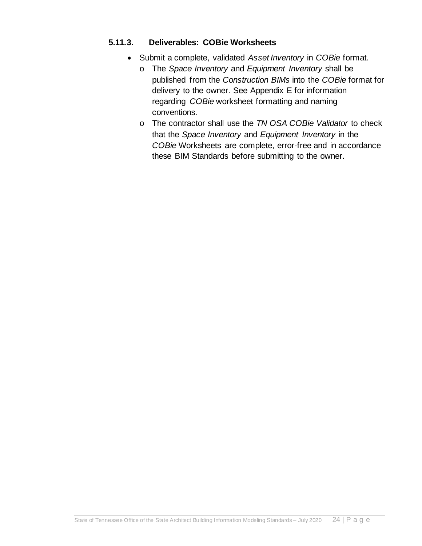#### **5.11.3. Deliverables: COBie Worksheets**

- Submit a complete, validated *Asset Inventory* in *COBie* format.
	- o The *Space Inventory* and *Equipment Inventory* shall be published from the *Construction BIMs* into the *COBie* format for delivery to the owner. See Appendix E for information regarding *COBie* worksheet formatting and naming conventions.
	- o The contractor shall use the *TN OSA COBie Validator* to check that the *Space Inventory* and *Equipment Inventory* in the *COBie* Worksheets are complete, error-free and in accordance these BIM Standards before submitting to the owner.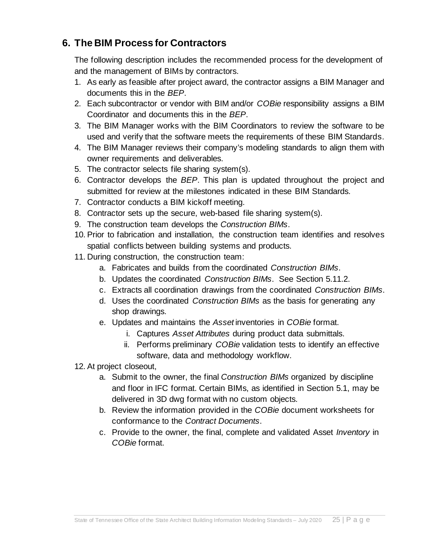### <span id="page-27-0"></span>**6. The BIM Process for Contractors**

The following description includes the recommended process for the development of and the management of BIMs by contractors.

- 1. As early as feasible after project award, the contractor assigns a BIM Manager and documents this in the *BEP*.
- 2. Each subcontractor or vendor with BIM and/or *COBie* responsibility assigns a BIM Coordinator and documents this in the *BEP*.
- 3. The BIM Manager works with the BIM Coordinators to review the software to be used and verify that the software meets the requirements of these BIM Standards.
- 4. The BIM Manager reviews their company's modeling standards to align them with owner requirements and deliverables.
- 5. The contractor selects file sharing system(s).
- 6. Contractor develops the *BEP*. This plan is updated throughout the project and submitted for review at the milestones indicated in these BIM Standards.
- 7. Contractor conducts a BIM kickoff meeting.
- 8. Contractor sets up the secure, web-based file sharing system(s).
- 9. The construction team develops the *Construction BIMs*.
- 10. Prior to fabrication and installation, the construction team identifies and resolves spatial conflicts between building systems and products.
- 11. During construction, the construction team:
	- a. Fabricates and builds from the coordinated *Construction BIMs*.
	- b. Updates the coordinated *Construction BIMs*. See Section 5.11.2.
	- c. Extracts all coordination drawings from the coordinated *Construction BIMs*.
	- d. Uses the coordinated *Construction BIMs* as the basis for generating any shop drawings.
	- e. Updates and maintains the *Asset* inventories in *COBie* format.
		- i. Captures *Asset Attributes* during product data submittals.
		- ii. Performs preliminary *COBie* validation tests to identify an effective software, data and methodology workflow.
- 12. At project closeout,
	- a. Submit to the owner, the final *Construction BIMs* organized by discipline and floor in IFC format. Certain BIMs, as identified in Section 5.1, may be delivered in 3D dwg format with no custom objects.
	- b. Review the information provided in the *COBie* document worksheets for conformance to the *Contract Documents*.
	- c. Provide to the owner, the final, complete and validated Asset *Inventory* in *COBie* format.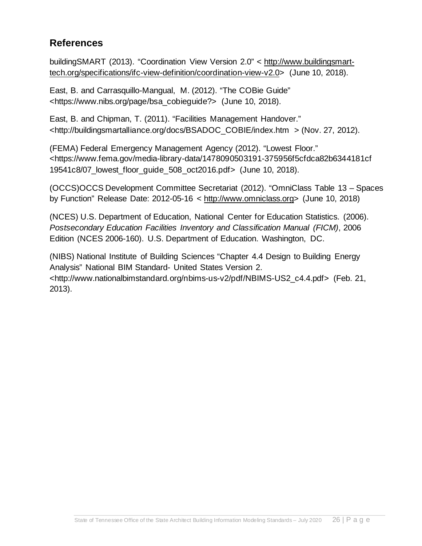### **References**

buildingSMART (2013). "Coordination View Version 2.0" < [http://www.buildingsmart](http://www.buildingsmart-tech.org/specifications/ifc-view-definition/coordination-view-v2.0)[tech.org/specifications/ifc-view-definition/coordination-view-v2.0>](http://www.buildingsmart-tech.org/specifications/ifc-view-definition/coordination-view-v2.0) (June 10, 2018).

East, B. and Carrasquillo-Mangual, M. (2012). "The COBie Guide" <https://www.nibs.org/page/bsa\_cobieguide?> (June 10, 2018).

East, B. and Chipman, T. (2011). "Facilities Management Handover." <http://buildingsmartalliance.org/docs/BSADOC\_COBIE/index.htm > (Nov. 27, 2012).

(FEMA) Federal Emergency Management Agency (2012). "Lowest Floor." <https://www.fema.gov/media-library-data/1478090503191-375956f5cfdca82b6344181cf 19541c8/07\_lowest\_floor\_guide\_508\_oct2016.pdf> (June 10, 2018).

(OCCS)OCCS Development Committee Secretariat (2012). "OmniClass Table 13 – Spaces by Function" Release Date: 2012-05-16 < [http://www.omniclass.org>](http://www.omniclass.org/) (June 10, 2018)

(NCES) U.S. Department of Education, National Center for Education Statistics. (2006). *Postsecondary Education Facilities Inventory and Classification Manual (FICM)*, 2006 Edition (NCES 2006-160). U.S. Department of Education. Washington, DC.

(NIBS) National Institute of Building Sciences "Chapter 4.4 Design to Building Energy Analysis" National BIM Standard- United States Version 2. <http://www.nationalbimstandard.org/nbims-us-v2/pdf/NBIMS-US2\_c4.4.pdf> (Feb. 21, 2013).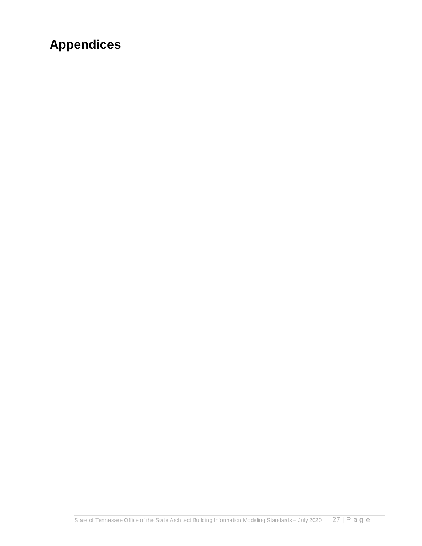## **Appendices**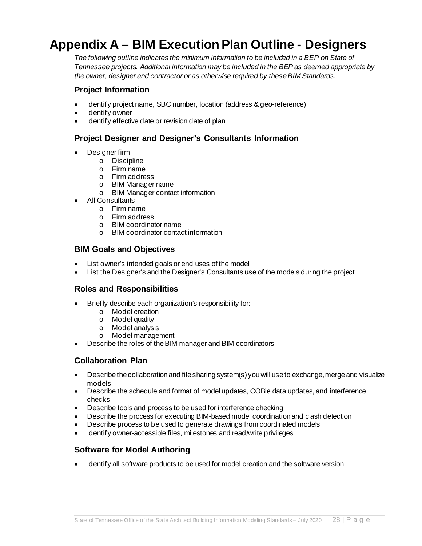## <span id="page-30-0"></span>**Appendix A – BIM Execution Plan Outline - Designers**

*The following outline indicates the minimum information to be included in a BEP on State of Tennessee projects. Additional information may be included in the BEP as deemed appropriate by the owner, designer and contractor or as otherwise required by these BIM Standards.*

#### **Project Information**

- Identify project name, SBC number, location (address & geo-reference)
- ldentif v owner
- Identify effective date or revision date of plan

#### **Project Designer and Designer's Consultants Information**

- Designer firm
	- o Discipline
	- o Firm name
	- o Firm address
	- o BIM Manager name
	- o BIM Manager contact information
- All Consultants
	- o Firm name
	- o Firm address
	- o BIM coordinator name
	- o BIM coordinator contact information

#### **BIM Goals and Objectives**

- List owner's intended goals or end uses of the model
- List the Designer's and the Designer's Consultants use of the models during the project

#### **Roles and Responsibilities**

- Briefly describe each organization's responsibility for:
	- o Model creation
	- o Model quality
	- o Model analysis
	- o Model management
- Describe the roles of the BIM manager and BIM coordinators

#### **Collaboration Plan**

- Describe the collaboration and file sharing system(s) you will use to exchange, merge and visualize models
- Describe the schedule and format of model updates, COBie data updates, and interference checks
- Describe tools and process to be used for interference checking
- Describe the process for executing BIM-based model coordination and clash detection
- Describe process to be used to generate drawings from coordinated models
- Identify owner-accessible files, milestones and read/write privileges

#### **Software for Model Authoring**

• Identify all software products to be used for model creation and the software version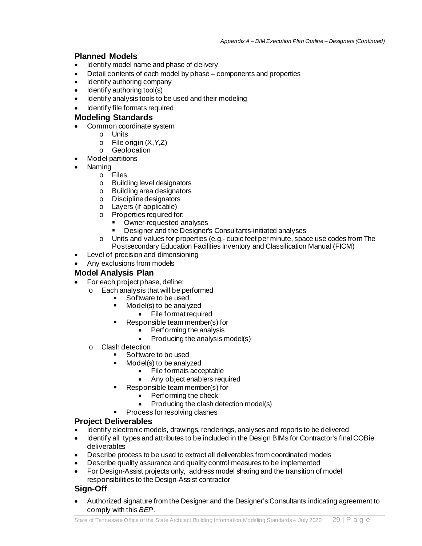#### **Planned Models**

- Identify model name and phase of delivery
- Detail contents of each model by phase components and properties
- Identify authoring company
- Identify authoring tool(s)
- Identify analysis tools to be used and their modeling
- Identify file formats required

#### **Modeling Standards**

- Common coordinate system
	- o Units
	- o File origin (X,Y,Z)
	- o Geolocation
	- Model partitions
- Naming
	- o Files
		- o Building level designators
		- o Building area designators
		- o Discipline designators
		- o Layers (if applicable)
		- o Properties required for:
			- **•** Owner-requested analyses
			- Designer and the Designer's Consultants-initiated analyses
		- $\circ$  Units and values for properties (e.g.- cubic feet per minute, space use codes from The Postsecondary Education Facilities Inventory and Classification Manual (FICM)
- Level of precision and dimensioning
- Any exclusions from models

#### **Model Analysis Plan**

- For each project phase, define:
	- o Each analysis that will be performed
		- Software to be used
		- Model(s) to be analyzed
			- File format required
		- Responsible team member(s) for
			- Performing the analysis
			- Producing the analysis model(s)
	- Clash detection
		- Software to be used
		- Model(s) to be analyzed
			- File formats acceptable
			- Any object enablers required
		- Responsible team member(s) for
			- Performing the check
			- Producing the clash detection model(s)
			- Process for resolving clashes

#### **Project Deliverables**

- Identify electronic models, drawings, renderings, analyses and reports to be delivered
- Identify all types and attributes to be included in the Design BIMs for Contractor's final COBie deliverables
- Describe process to be used to extract all deliverables from coordinated models
- Describe quality assurance and quality control measures to be implemented
- For Design-Assist projects only, address model sharing and the transition of model responsibilities to the Design-Assist contractor

#### **Sign-Off**

• Authorized signature from the Designer and the Designer's Consultants indicating agreement to comply with this *BEP*.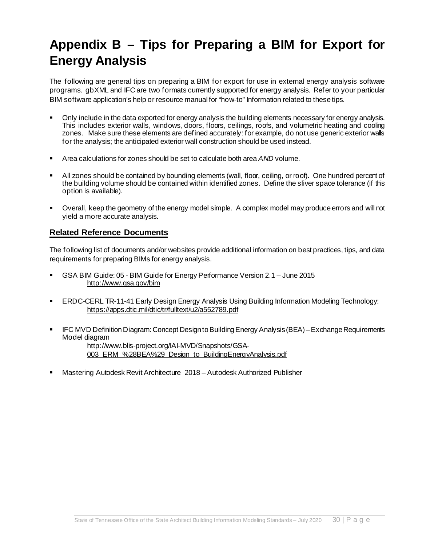## <span id="page-32-0"></span>**Appendix B – Tips for Preparing a BIM for Export for Energy Analysis**

The following are general tips on preparing a BIM for export for use in external energy analysis software programs. gbXML and IFC are two formats currently supported for energy analysis. Refer to your particular BIM software application's help or resource manual for "how-to" Information related to these tips.

- Only include in the data exported for energy analysis the building elements necessary for energy analysis. This includes exterior walls, windows, doors, floors, ceilings, roofs, and volumetric heating and cooling zones. Make sure these elements are defined accurately: for example, do not use generic exterior walls for the analysis; the anticipated exterior wall construction should be used instead.
- Area calculations for zones should be set to calculate both area *AND* volume.
- All zones should be contained by bounding elements (wall, floor, ceiling, or roof). One hundred percent of the building volume should be contained within identified zones. Define the sliver space tolerance (if this option is available).
- Overall, keep the geometry of the energy model simple. A complex model may produce errors and will not yield a more accurate analysis.

#### **Related Reference Documents**

The following list of documents and/or websites provide additional information on best practices, tips, and data requirements for preparing BIMs for energy analysis.

- GSA BIM Guide: 05 BIM Guide for Energy Performance Version 2.1 June 2015 <http://www.gsa.gov/bim>
- ERDC-CERL TR-11-41 Early Design Energy Analysis Using Building Information Modeling Technology: https://apps.dtic.mil/dtic/tr/fulltext/u2/a552789.pdf
- IFC MVD Definition Diagram: Concept Design to Building Energy Analysis (BEA) –Exchange Requirements Model diagram

[http://www.blis-project.org/IAI-MVD/Snapshots/GSA-](http://www.blis-project.org/IAI-MVD/Snapshots/GSA-003_ERM_%28BEA%29_Design_to_BuildingEnergyAnalysis.pdf)[003\\_ERM\\_%28BEA%29\\_Design\\_to\\_BuildingEnergyAnalysis.pdf](http://www.blis-project.org/IAI-MVD/Snapshots/GSA-003_ERM_%28BEA%29_Design_to_BuildingEnergyAnalysis.pdf)

Mastering Autodesk Revit Architecture 2018 – Autodesk Authorized Publisher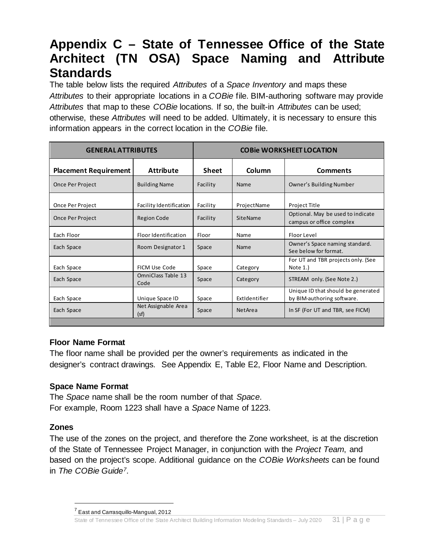## <span id="page-33-0"></span>**Appendix C – State of Tennessee Office of the State Architect (TN OSA) Space Naming and Attribute Standards**

The table below lists the required *Attributes* of a *Space Inventory* and maps these *Attributes* to their appropriate locations in a *COBie* file. BIM-authoring software may provide *Attributes* that map to these *COBie* locations. If so, the built-in *Attributes* can be used; otherwise, these *Attributes* will need to be added. Ultimately, it is necessary to ensure this information appears in the correct location in the *COBie* file.

| <b>GENERAL ATTRIBUTES</b>                       |                             |          | <b>COBIE WORKSHEET LOCATION</b> |                                                                  |  |  |  |
|-------------------------------------------------|-----------------------------|----------|---------------------------------|------------------------------------------------------------------|--|--|--|
| <b>Placement Requirement</b>                    | <b>Sheet</b>                | Column   | <b>Comments</b>                 |                                                                  |  |  |  |
| <b>Once Per Project</b>                         | <b>Building Name</b>        | Facility | Name                            | Owner's Building Number                                          |  |  |  |
| <b>Once Per Project</b>                         | Facility Identification     | Facility | ProjectName                     | <b>Project Title</b>                                             |  |  |  |
| <b>Once Per Project</b>                         | <b>Region Code</b>          | Facility | SiteName                        | Optional. May be used to indicate<br>campus or office complex    |  |  |  |
| Each Floor                                      | Floor Identification        | Floor    | Name                            | Floor Level                                                      |  |  |  |
| Each Space                                      | Room Designator 1           | Space    | Name                            | Owner's Space naming standard.<br>See below for format.          |  |  |  |
| Each Space                                      | FICM Use Code               | Space    | Category                        | For UT and TBR projects only. (See<br>Note $1.$ )                |  |  |  |
| <b>OmniClass Table 13</b><br>Each Space<br>Code |                             | Space    | Category                        | STREAM only. (See Note 2.)                                       |  |  |  |
| Each Space                                      | Unique Space ID             | Space    | Extidentifier                   | Unique ID that should be generated<br>by BIM-authoring software. |  |  |  |
| Each Space                                      | Net Assignable Area<br>(sf) | Space    | NetArea                         | In SF (For UT and TBR, see FICM)                                 |  |  |  |

#### **Floor Name Format**

The floor name shall be provided per the owner's requirements as indicated in the designer's contract drawings. See Appendix E, Table E2, Floor Name and Description.

#### **Space Name Format**

The *Space* name shall be the room number of that *Space*. For example, Room 1223 shall have a *Space* Name of 1223.

#### **Zones**

The use of the zones on the project, and therefore the Zone worksheet, is at the discretion of the State of Tennessee Project Manager, in conjunction with the *Project Team*, and based on the project's scope. Additional guidance on the *COBie Worksheets* can be found in *The COBie Guide[7](#page-33-1).*

<span id="page-33-1"></span><sup>7</sup> East and Carrasquillo-Mangual, 2012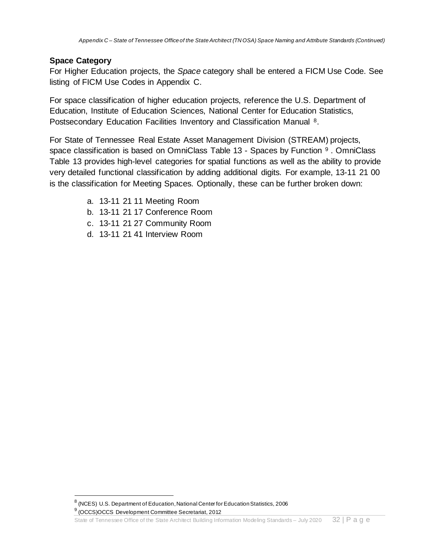#### **Space Category**

For Higher Education projects, the *Space* category shall be entered a FICM Use Code. See listing of FICM Use Codes in Appendix C.

For space classification of higher education projects, reference the U.S. Department of Education, Institute of Education Sciences, National Center for Education Statistics, Postsecondary Education Facilities Inventory and Classification Manual [8](#page-34-0).

For State of Tennessee Real Estate Asset Management Division (STREAM) projects, space classification is based on OmniClass Table 13 - Spaces by Function [9](#page-34-1). OmniClass Table 13 provides high-level categories for spatial functions as well as the ability to provide very detailed functional classification by adding additional digits. For example, 13-11 21 00 is the classification for Meeting Spaces. Optionally, these can be further broken down:

- a. 13-11 21 11 Meeting Room
- b. 13-11 21 17 Conference Room
- c. 13-11 21 27 Community Room
- d. 13-11 21 41 Interview Room

<span id="page-34-1"></span><span id="page-34-0"></span><sup>8</sup> (NCES) U.S. Department of Education, National Center for Education Statistics, 2006 <sup>9</sup> (OCCS)OCCS Development Committee Secretariat, 2012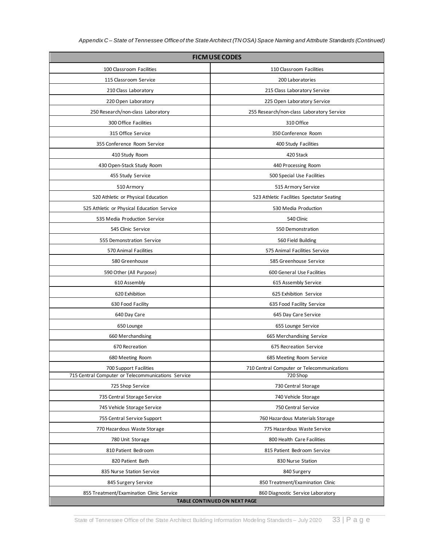| <b>FICM USE CODES</b>                              |                                            |  |  |  |  |  |
|----------------------------------------------------|--------------------------------------------|--|--|--|--|--|
| 100 Classroom Facilities                           | 110 Classroom Facilities                   |  |  |  |  |  |
| 115 Classroom Service                              | 200 Laboratories                           |  |  |  |  |  |
| 210 Class Laboratory                               | 215 Class Laboratory Service               |  |  |  |  |  |
| 220 Open Laboratory                                | 225 Open Laboratory Service                |  |  |  |  |  |
| 250 Research/non-class Laboratory                  | 255 Research/non-class Laboratory Service  |  |  |  |  |  |
| 300 Office Facilities                              | 310 Office                                 |  |  |  |  |  |
| 315 Office Service                                 | 350 Conference Room                        |  |  |  |  |  |
| 355 Conference Room Service                        | 400 Study Facilities                       |  |  |  |  |  |
| 410 Study Room                                     | 420 Stack                                  |  |  |  |  |  |
| 430 Open-Stack Study Room                          | 440 Processing Room                        |  |  |  |  |  |
| 455 Study Service                                  | 500 Special Use Facilities                 |  |  |  |  |  |
| 510 Armory                                         | 515 Armory Service                         |  |  |  |  |  |
| 520 Athletic or Physical Education                 | 523 Athletic Facilities Spectator Seating  |  |  |  |  |  |
| 525 Athletic or Physical Education Service         | 530 Media Production                       |  |  |  |  |  |
| 535 Media Production Service                       | 540 Clinic                                 |  |  |  |  |  |
| 545 Clinic Service                                 | 550 Demonstration                          |  |  |  |  |  |
| 555 Demonstration Service                          | 560 Field Building                         |  |  |  |  |  |
| 570 Animal Facilities                              | 575 Animal Facilities Service              |  |  |  |  |  |
| 580 Greenhouse                                     | 585 Greenhouse Service                     |  |  |  |  |  |
| 590 Other (All Purpose)                            | 600 General Use Facilities                 |  |  |  |  |  |
| 610 Assembly                                       | 615 Assembly Service                       |  |  |  |  |  |
| 620 Exhibition                                     | 625 Exhibition Service                     |  |  |  |  |  |
| 630 Food Facility                                  | 635 Food Facility Service                  |  |  |  |  |  |
| 640 Day Care                                       | 645 Day Care Service                       |  |  |  |  |  |
| 650 Lounge                                         | 655 Lounge Service                         |  |  |  |  |  |
| 660 Merchandising                                  | 665 Merchandising Service                  |  |  |  |  |  |
| 670 Recreation                                     | 675 Recreation Service                     |  |  |  |  |  |
| 680 Meeting Room                                   | 685 Meeting Room Service                   |  |  |  |  |  |
| 700 Support Facilities                             | 710 Central Computer or Telecommunications |  |  |  |  |  |
| 715 Central Computer or Telecommunications Service | 720 Shop                                   |  |  |  |  |  |
| 725 Shop Service                                   | 730 Central Storage                        |  |  |  |  |  |
| 735 Central Storage Service                        | 740 Vehicle Storage                        |  |  |  |  |  |
| 745 Vehicle Storage Service                        | 750 Central Service                        |  |  |  |  |  |
| 755 Central Service Support                        | 760 Hazardous Materials Storage            |  |  |  |  |  |
| 770 Hazardous Waste Storage                        | 775 Hazardous Waste Service                |  |  |  |  |  |
| 780 Unit Storage                                   | 800 Health Care Facilities                 |  |  |  |  |  |
| 810 Patient Bedroom                                | 815 Patient Bedroom Service                |  |  |  |  |  |
| 820 Patient Bath                                   | 830 Nurse Station                          |  |  |  |  |  |
| 835 Nurse Station Service                          | 840 Surgery                                |  |  |  |  |  |
| 845 Surgery Service                                | 850 Treatment/Examination Clinic           |  |  |  |  |  |
| 855 Treatment/Examination Clinic Service           | 860 Diagnostic Service Laboratory          |  |  |  |  |  |
|                                                    | <b>TABLE CONTINUED ON NEXT PAGE</b>        |  |  |  |  |  |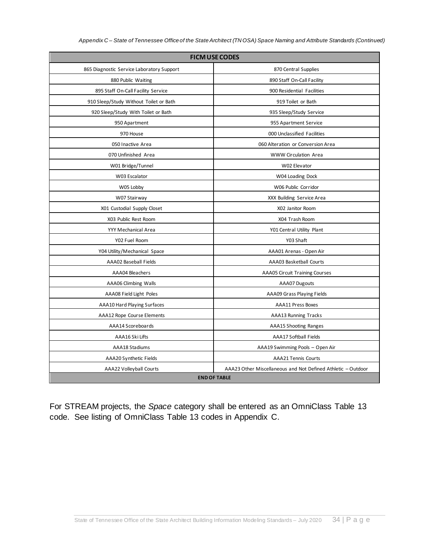|  | Appendix C – State of Tennessee Office of the State Architect (TN OSA) Space Naming and Attribute Standards (Continued) |
|--|-------------------------------------------------------------------------------------------------------------------------|
|--|-------------------------------------------------------------------------------------------------------------------------|

| <b>FICM USE CODES</b>                     |                                                              |  |  |  |
|-------------------------------------------|--------------------------------------------------------------|--|--|--|
| 865 Diagnostic Service Laboratory Support | 870 Central Supplies                                         |  |  |  |
| 880 Public Waiting                        | 890 Staff On-Call Facility                                   |  |  |  |
| 895 Staff On-Call Facility Service        | 900 Residential Facilities                                   |  |  |  |
| 910 Sleep/Study Without Toilet or Bath    | 919 Toilet or Bath                                           |  |  |  |
| 920 Sleep/Study With Toilet or Bath       | 935 Sleep/Study Service                                      |  |  |  |
| 950 Apartment                             | 955 Apartment Service                                        |  |  |  |
| 970 House                                 | 000 Unclassified Facilities                                  |  |  |  |
| 050 Inactive Area                         | 060 Alteration or Conversion Area                            |  |  |  |
| 070 Unfinished Area                       | <b>WWW Circulation Area</b>                                  |  |  |  |
| W01 Bridge/Tunnel                         | W02 Elevator                                                 |  |  |  |
| W03 Escalator                             | W04 Loading Dock                                             |  |  |  |
| W05 Lobby                                 | W06 Public Corridor                                          |  |  |  |
| W07 Stairway                              | XXX Building Service Area                                    |  |  |  |
| X01 Custodial Supply Closet               | X02 Janitor Room                                             |  |  |  |
| X03 Public Rest Room                      | X04 Trash Room                                               |  |  |  |
| YYY Mechanical Area                       | Y01 Central Utility Plant                                    |  |  |  |
| Y02 Fuel Room<br>Y03 Shaft                |                                                              |  |  |  |
| Y04 Utility/Mechanical Space              | AAA01 Arenas - Open Air                                      |  |  |  |
| <b>AAA02 Baseball Fields</b>              | AAA03 Basketball Courts                                      |  |  |  |
| AAA04 Bleachers                           | <b>AAA05 Circuit Training Courses</b>                        |  |  |  |
| AAA06 Climbing Walls                      | <b>AAA07 Dugouts</b>                                         |  |  |  |
| AAA08 Field Light Poles                   | AAA09 Grass Playing Fields                                   |  |  |  |
| <b>AAA10 Hard Playing Surfaces</b>        | <b>AAA11 Press Boxes</b>                                     |  |  |  |
| AAA12 Rope Course Elements                | AAA13 Running Tracks                                         |  |  |  |
| AAA14 Scoreboards                         | AAA15 Shooting Ranges                                        |  |  |  |
| AAA16 Ski Lifts                           | <b>AAA17 Softball Fields</b>                                 |  |  |  |
| AAA18 Stadiums                            | AAA19 Swimming Pools - Open Air                              |  |  |  |
| AAA20 Synthetic Fields                    | <b>AAA21 Tennis Courts</b>                                   |  |  |  |
| <b>AAA22 Volleyball Courts</b>            | AAA23 Other Miscellaneous and Not Defined Athletic - Outdoor |  |  |  |
| <b>END OF TABLE</b>                       |                                                              |  |  |  |

For STREAM projects, the *Space* category shall be entered as an OmniClass Table 13 code. See listing of OmniClass Table 13 codes in Appendix C.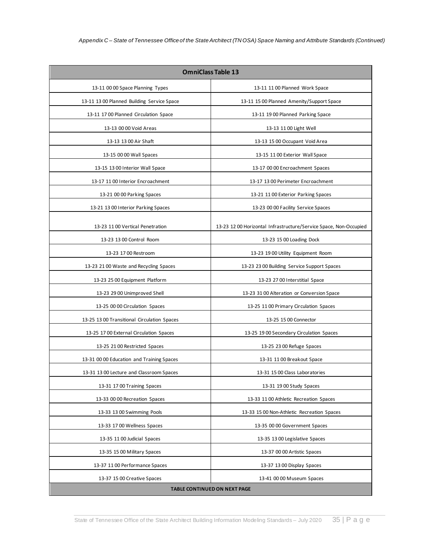| <b>OmniClass Table 13</b>                   |                                                                   |  |  |  |  |
|---------------------------------------------|-------------------------------------------------------------------|--|--|--|--|
| 13-11 00 00 Space Planning Types            | 13-11 11 00 Planned Work Space                                    |  |  |  |  |
| 13-11 13 00 Planned Building Service Space  | 13-11 15 00 Planned Amenity/Support Space                         |  |  |  |  |
| 13-11 17 00 Planned Circulation Space       | 13-11 19 00 Planned Parking Space                                 |  |  |  |  |
| 13-13 00 00 Void Areas                      | 13-13 11 00 Light Well                                            |  |  |  |  |
| 13-13 13 00 Air Shaft                       | 13-13 15 00 Occupant Void Area                                    |  |  |  |  |
| 13-15 00 00 Wall Spaces                     | 13-15 11 00 Exterior Wall Space                                   |  |  |  |  |
| 13-15 13 00 Interior Wall Space             | 13-17 00 00 Encroachment Spaces                                   |  |  |  |  |
| 13-17 11 00 Interior Encroachment           | 13-17 13 00 Perimeter Encroachment                                |  |  |  |  |
| 13-21 00 00 Parking Spaces                  | 13-21 11 00 Exterior Parking Spaces                               |  |  |  |  |
| 13-21 13 00 Interior Parking Spaces         | 13-23 00 00 Facility Service Spaces                               |  |  |  |  |
|                                             |                                                                   |  |  |  |  |
| 13-23 11 00 Vertical Penetration            | 13-23 12 00 Horizontal Infrastructure/Service Space, Non-Occupied |  |  |  |  |
| 13-23 13 00 Control Room                    | 13-23 15 00 Loading Dock                                          |  |  |  |  |
| 13-23 17 00 Restroom                        | 13-23 19 00 Utility Equipment Room                                |  |  |  |  |
| 13-23 21 00 Waste and Recycling Spaces      | 13-23 23 00 Building Service Support Spaces                       |  |  |  |  |
| 13-23 25 00 Equipment Platform              | 13-23 27 00 Interstitial Space                                    |  |  |  |  |
| 13-23 29 00 Unimproved Shell                | 13-23 31 00 Alteration or Conversion Space                        |  |  |  |  |
| 13-25 00 00 Circulation Spaces              | 13-25 11 00 Primary Circulation Spaces                            |  |  |  |  |
| 13-25 13 00 Transitional Circulation Spaces | 13-25 15 00 Connector                                             |  |  |  |  |
| 13-25 17 00 External Circulation Spaces     | 13-25 19 00 Secondary Circulation Spaces                          |  |  |  |  |
| 13-25 21 00 Restricted Spaces               | 13-25 23 00 Refuge Spaces                                         |  |  |  |  |
| 13-31 00 00 Education and Training Spaces   | 13-31 11 00 Breakout Space                                        |  |  |  |  |
| 13-31 13 00 Lecture and Classroom Spaces    | 13-31 15 00 Class Laboratories                                    |  |  |  |  |
| 13-31 17 00 Training Spaces                 | 13-31 19 00 Study Spaces                                          |  |  |  |  |
| 13-33 00 00 Recreation Spaces               | 13-33 11 00 Athletic Recreation Spaces                            |  |  |  |  |
| 13-33 13 00 Swimming Pools                  | 13-33 15 00 Non-Athletic Recreation Spaces                        |  |  |  |  |
| 13-33 17 00 Wellness Spaces                 | 13-35 00 00 Government Spaces                                     |  |  |  |  |
| 13-35 11 00 Judicial Spaces                 | 13-35 13 00 Legislative Spaces                                    |  |  |  |  |
| 13-35 15 00 Military Spaces                 | 13-37 00 00 Artistic Spaces                                       |  |  |  |  |
| 13-37 11 00 Performance Spaces              | 13-37 13 00 Display Spaces                                        |  |  |  |  |
| 13-37 15 00 Creative Spaces                 | 13-41 00 00 Museum Spaces                                         |  |  |  |  |
| <b>TABLE CONTINUED ON NEXT PAGE</b>         |                                                                   |  |  |  |  |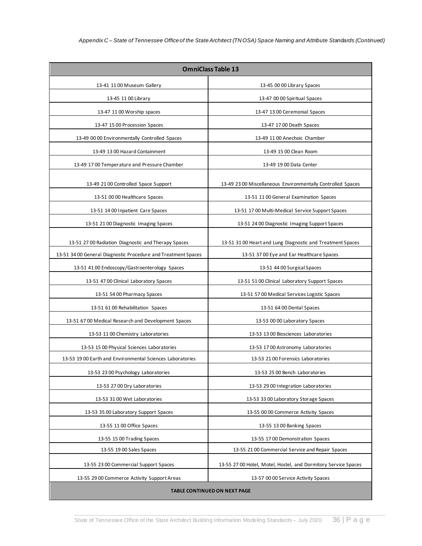| <b>OmniClass Table 13</b>                                     |                                                                |  |  |  |  |
|---------------------------------------------------------------|----------------------------------------------------------------|--|--|--|--|
| 13-41 11 00 Museum Gallery                                    | 13-45 00 00 Library Spaces                                     |  |  |  |  |
| 13-45 11 00 Library                                           | 13-47 00 00 Spiritual Spaces                                   |  |  |  |  |
| 13-47 11 00 Worship spaces                                    | 13-47 13 00 Ceremonial Spaces                                  |  |  |  |  |
| 13-47 15 00 Procession Spaces                                 | 13-47 17 00 Death Spaces                                       |  |  |  |  |
| 13-49 00 00 Environmentally Controlled Spaces                 | 13-49 11 00 Anechoic Chamber                                   |  |  |  |  |
| 13-49 13 00 Hazard Containment                                | 13-49 15 00 Clean Room                                         |  |  |  |  |
| 13-49 17 00 Temperature and Pressure Chamber                  | 13-49 19 00 Data Center                                        |  |  |  |  |
| 13-49 21 00 Controlled Space Support                          | 13-49 23 00 Miscellaneous Environmentally Controlled Spaces    |  |  |  |  |
| 13-51 00 00 Healthcare Spaces                                 | 13-51 11 00 General Examination Spaces                         |  |  |  |  |
| 13-51 14 00 Inpatient Care Spaces                             | 13-51 17 00 Multi-Medical Service Support Spaces               |  |  |  |  |
| 13-51 21 00 Diagnostic Imaging Spaces                         | 13-51 24 00 Diagnostic Imaging Support Spaces                  |  |  |  |  |
| 13-51 27 00 Radiation Diagnostic and Therapy Spaces           | 13-51 31 00 Heart and Lung Diagnostic and Treatment Spaces     |  |  |  |  |
| 13-51 34 00 General Diagnostic Procedure and Treatment Spaces | 13-51 37 00 Eye and Ear Healthcare Spaces                      |  |  |  |  |
| 13-51 41 00 Endoscopy/Gastroenterology Spaces                 | 13-51 44 00 Surgical Spaces                                    |  |  |  |  |
| 13-51 47 00 Clinical Laboratory Spaces                        | 13-51 51 00 Clinical Laboratory Support Spaces                 |  |  |  |  |
| 13-51 54 00 Pharmacy Spaces                                   | 13-51 57 00 Medical Services Logistic Spaces                   |  |  |  |  |
| 13-51 61 00 Rehabilitation Spaces                             | 13-51 64 00 Dental Spaces                                      |  |  |  |  |
| 13-51 67 00 Medical Research and Development Spaces           | 13-53 00 00 Laboratory Spaces                                  |  |  |  |  |
| 13-53 11 00 Chemistry Laboratories                            | 13-53 13 00 Biosciences Laboratories                           |  |  |  |  |
| 13-53 15 00 Physical Sciences Laboratories                    | 13-53 17 00 Astronomy Laboratories                             |  |  |  |  |
| 13-53 19 00 Earth and Environmental Sciences Laboratories     | 13-53 21 00 Forensics Laboratories                             |  |  |  |  |
| 13-53 23 00 Psychology Laboratories                           | 13-53 25 00 Bench Laboratories                                 |  |  |  |  |
| 13-53 27 00 Dry Laboratories                                  | 13-53 29 00 Integration Laboratories                           |  |  |  |  |
| 13-53 31 00 Wet Laboratories                                  | 13-53 33 00 Laboratory Storage Spaces                          |  |  |  |  |
| 13-53 35 00 Laboratory Support Spaces                         | 13-55 00 00 Commerce Activity Spaces                           |  |  |  |  |
| 13-55 11 00 Office Spaces                                     | 13-55 13 00 Banking Spaces                                     |  |  |  |  |
| 13-55 15 00 Trading Spaces                                    | 13-55 17 00 Demonstration Spaces                               |  |  |  |  |
| 13-55 19 00 Sales Spaces                                      | 13-55 21 00 Commercial Service and Repair Spaces               |  |  |  |  |
| 13-55 23 00 Commercial Support Spaces                         | 13-55 27 00 Hotel, Motel, Hostel, and Dormitory Service Spaces |  |  |  |  |
| 13-55 29 00 Commerce Activity Support Areas                   | 13-57 00 00 Service Activity Spaces                            |  |  |  |  |
| <b>TABLE CONTINUED ON NEXT PAGE</b>                           |                                                                |  |  |  |  |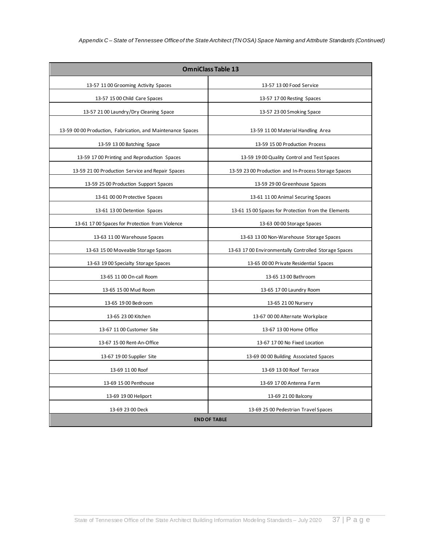| <b>OmniClass Table 13</b>                                   |                                                       |  |  |  |
|-------------------------------------------------------------|-------------------------------------------------------|--|--|--|
| 13-57 11 00 Grooming Activity Spaces                        | 13-57 13 00 Food Service                              |  |  |  |
| 13-57 15 00 Child Care Spaces                               | 13-57 17 00 Resting Spaces                            |  |  |  |
| 13-57 21 00 Laundry/Dry Cleaning Space                      | 13-57 23 00 Smoking Space                             |  |  |  |
| 13-59 00 00 Production, Fabrication, and Maintenance Spaces | 13-59 11 00 Material Handling Area                    |  |  |  |
| 13-59 13 00 Batching Space                                  | 13-59 15 00 Production Process                        |  |  |  |
| 13-59 17 00 Printing and Reproduction Spaces                | 13-59 19 00 Quality Control and Test Spaces           |  |  |  |
| 13-59 21 00 Production Service and Repair Spaces            | 13-59 23 00 Production and In-Process Storage Spaces  |  |  |  |
| 13-59 25 00 Production Support Spaces                       | 13-59 29 00 Greenhouse Spaces                         |  |  |  |
| 13-61 00 00 Protective Spaces                               | 13-61 11 00 Animal Securing Spaces                    |  |  |  |
| 13-61 13 00 Detention Spaces                                | 13-61 15 00 Spaces for Protection from the Elements   |  |  |  |
| 13-61 17 00 Spaces for Protection from Violence             | 13-63 00 00 Storage Spaces                            |  |  |  |
| 13-63 11 00 Warehouse Spaces                                | 13-63 13 00 Non-Warehouse Storage Spaces              |  |  |  |
| 13-63 15 00 Moveable Storage Spaces                         | 13-63 17 00 Environmentally Controlled Storage Spaces |  |  |  |
| 13-63 19 00 Specialty Storage Spaces                        | 13-65 00 00 Private Residential Spaces                |  |  |  |
| 13-65 11 00 On-call Room                                    | 13-65 13 00 Bathroom                                  |  |  |  |
| 13-65 15 00 Mud Room                                        | 13-65 17 00 Laundry Room                              |  |  |  |
| 13-65 19 00 Bedroom                                         | 13-65 21 00 Nursery                                   |  |  |  |
| 13-65 23 00 Kitchen                                         | 13-67 00 00 Alternate Workplace                       |  |  |  |
| 13-67 11 00 Customer Site                                   | 13-67 13 00 Home Office                               |  |  |  |
| 13-67 15 00 Rent-An-Office                                  | 13-67 17 00 No Fixed Location                         |  |  |  |
| 13-67 19 00 Supplier Site                                   | 13-69 00 00 Building Associated Spaces                |  |  |  |
| 13-69 11 00 Roof                                            | 13-69 13 00 Roof Terrace                              |  |  |  |
| 13-69 15 00 Penthouse                                       | 13-69 17 00 Antenna Farm                              |  |  |  |
| 13-69 19 00 Heliport                                        | 13-69 21 00 Balcony                                   |  |  |  |
| 13-69 23 00 Deck                                            | 13-69 25 00 Pedestrian Travel Spaces                  |  |  |  |
|                                                             | <b>END OF TABLE</b>                                   |  |  |  |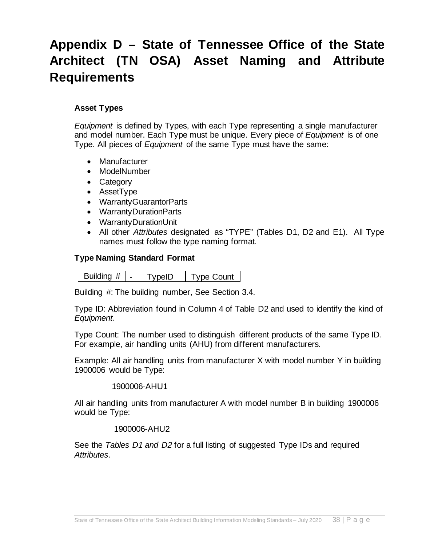## <span id="page-40-0"></span>**Appendix D – State of Tennessee Office of the State Architect (TN OSA) Asset Naming and Attribute Requirements**

#### **Asset Types**

*Equipment* is defined by Types, with each Type representing a single manufacturer and model number. Each Type must be unique. Every piece of *Equipment* is of one Type. All pieces of *Equipment* of the same Type must have the same:

- Manufacturer
- ModelNumber
- Category
- AssetType
- WarrantyGuarantorParts
- WarrantyDurationParts
- WarrantyDurationUnit
- All other *Attributes* designated as "TYPE" (Tables D1, D2 and E1). All Type names must follow the type naming format.

#### **Type Naming Standard Format**

| Building # | ™vpeID | l vpe Count |
|------------|--------|-------------|
|------------|--------|-------------|

Building #: The building number, See Section 3.4.

Type ID: Abbreviation found in Column 4 of Table D2 and used to identify the kind of *Equipment.*

Type Count: The number used to distinguish different products of the same Type ID. For example, air handling units (AHU) from different manufacturers.

Example: All air handling units from manufacturer X with model number Y in building 1900006 would be Type:

#### 1900006-AHU1

All air handling units from manufacturer A with model number B in building 1900006 would be Type:

#### 1900006-AHU2

See the *Tables D1 and D2* for a full listing of suggested Type IDs and required *Attributes*.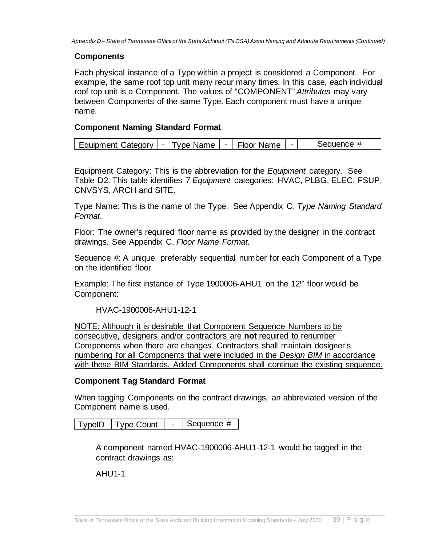*Appendix D – State of Tennessee Office of the State Architect (TN OSA) Asset Naming and Attribute Requirements (Continued)* 

#### **Components**

Each physical instance of a Type within a project is considered a Component. For example, the same roof top unit many recur many times. In this case, each individual roof top unit is a Component. The values of "COMPONENT" *Attributes* may vary between Components of the same Type. Each component must have a unique name.

#### **Component Naming Standard Format**

| <b>Faujoment</b><br>∴ategory | - | vpe Name | Name<br>$-10.$<br>эг | $\sim$ | ∸ |
|------------------------------|---|----------|----------------------|--------|---|
|                              |   |          |                      |        |   |

Equipment Category: This is the abbreviation for the *Equipment* category. See Table D2. This table identifies 7 *Equipment* categories: HVAC, PLBG, ELEC, FSUP, CNVSYS, ARCH and SITE.

Type Name: This is the name of the Type. See Appendix C, *Type Naming Standard Format*.

Floor: The owner's required floor name as provided by the designer in the contract drawings. See Appendix C, *Floor Name Format*.

Sequence #: A unique, preferably sequential number for each Component of a Type on the identified floor

Example: The first instance of Type 1900006-AHU1 on the 12<sup>th</sup> floor would be Component:

HVAC-1900006-AHU1-12-1

NOTE: Although it is desirable that Component Sequence Numbers to be consecutive, designers and/or contractors are **not** required to renumber Components when there are changes. Contractors shall maintain designer's numbering for all Components that were included in the *Design BIM* in accordance with these BIM Standards. Added Components shall continue the existing sequence.

#### **Component Tag Standard Format**

When tagging Components on the contract drawings, an abbreviated version of the Component name is used.

TypeID  $|$  Type Count  $|$  -  $|$  Sequence #

A component named HVAC-1900006-AHU1-12-1 would be tagged in the contract drawings as:

AHU1-1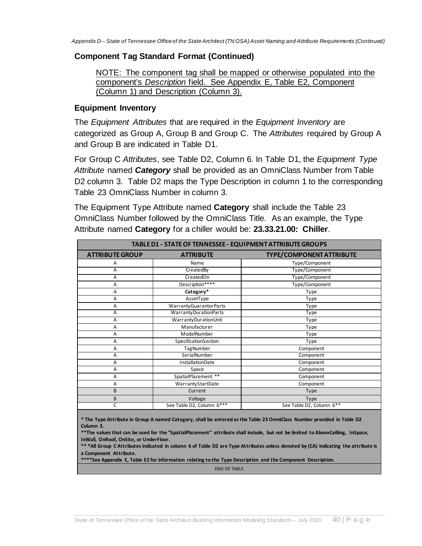#### **Component Tag Standard Format (Continued)**

NOTE: The component tag shall be mapped or otherwise populated into the component's *Description* field. See Appendix E, Table E2, Component (Column 1) and Description (Column 3).

#### **Equipment Inventory**

The *Equipment Attributes* that are required in the *Equipment Inventory* are categorized as Group A, Group B and Group C. The *Attributes* required by Group A and Group B are indicated in Table D1.

For Group C *Attributes*, see Table D2, Column 6. In Table D1, the *Equipment Type Attribute* named *Category* shall be provided as an OmniClass Number from Table D2 column 3. Table D2 maps the Type Description in column 1 to the corresponding Table 23 OmniClass Number in column 3.

The Equipment Type Attribute named **Category** shall include the Table 23 OmniClass Number followed by the OmniClass Title. As an example, the Type Attribute named **Category** for a chiller would be: **23.33.21.00: Chiller**.

|                        | TABLE D1 - STATE OF TENNESSEE - EQUIPMENT ATTRIBUTE GROUPS |                          |  |  |  |  |
|------------------------|------------------------------------------------------------|--------------------------|--|--|--|--|
| <b>ATTRIBUTE GROUP</b> | <b>ATTRIBUTE</b>                                           | TYPE/COMPONENT ATTRIBUTE |  |  |  |  |
| Α                      | Name                                                       | Type/Component           |  |  |  |  |
| A                      | CreatedBy                                                  | Type/Component           |  |  |  |  |
| A                      | CreatedOn                                                  | Type/Component           |  |  |  |  |
| A                      | Description****                                            | Type/Component           |  |  |  |  |
| A                      | Category*                                                  | Type                     |  |  |  |  |
| A                      | AssetType                                                  | Type                     |  |  |  |  |
| А                      | Warranty Guarantor Parts                                   | Type                     |  |  |  |  |
| A                      | <b>WarrantyDurationParts</b>                               | Type                     |  |  |  |  |
| Α                      | WarrantyDurationUnit                                       | Type                     |  |  |  |  |
| Α                      | Manufacturer                                               | Type                     |  |  |  |  |
| A                      | ModelNumber                                                | Type                     |  |  |  |  |
| A                      | SpecificationSection                                       | Type                     |  |  |  |  |
| A                      | TagNumber                                                  | Component                |  |  |  |  |
| A                      | SerialNumber                                               | Component                |  |  |  |  |
| A                      | InstallationDate                                           | Component                |  |  |  |  |
| A                      | Space                                                      | Component                |  |  |  |  |
| A                      | SpatialPlacement **                                        | Component                |  |  |  |  |
| A                      | WarrantyStartDate                                          | Component                |  |  |  |  |
| B                      | Current                                                    | Type                     |  |  |  |  |
| В                      | Voltage                                                    | Type                     |  |  |  |  |
| Ċ                      | See Table D2, Column 6***                                  | See Table D2, Column 6** |  |  |  |  |

**\* The Type Attribute in Group A named Category, shall be entered as the Table 23 OmniClass Number provided in Table D2 Column 3.**

**\*\*The values that can be used for the "SpatialPlacement" attribute shall include, but not be limited to AboveCeiliing, InSpace, InWall, OnRoof, OnSite, or UnderFloor.**

**\*\* \*All Group C Attributes indicated in column 6 of Table D2 are Type Attributes unless denoted by (CA) indicating the attribute is a Component Attribute.**

**\*\*\*\*See Appendix E, Table E2 for information relating to the Type Description and the Component Description.**

END OF TABLE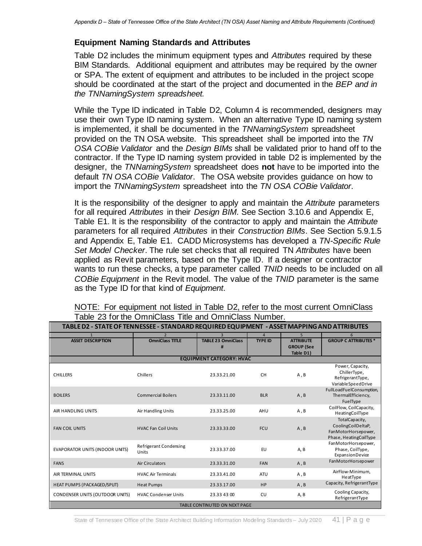#### **Equipment Naming Standards and Attributes**

Table D2 includes the minimum equipment types and *Attributes* required by these BIM Standards. Additional equipment and attributes may be required by the owner or SPA. The extent of equipment and attributes to be included in the project scope should be coordinated at the start of the project and documented in the *BEP and in the TNNamingSystem spreadsheet.*

While the Type ID indicated in Table D2, Column 4 is recommended, designers may use their own Type ID naming system. When an alternative Type ID naming system is implemented, it shall be documented in the *TNNamingSystem* spreadsheet provided on the TN OSA website. This spreadsheet shall be imported into the *TN OSA COBie Validator* and the *Design BIMs* shall be validated prior to hand off to the contractor. If the Type ID naming system provided in table D2 is implemented by the designer, the *TNNamingSystem* spreadsheet does **not** have to be imported into the default *TN OSA COBie Validator*. The OSA website provides guidance on how to import the *TNNamingSystem* spreadsheet into the *TN OSA COBie Validator*.

It is the responsibility of the designer to apply and maintain the *Attribute* parameters for all required *Attributes* in their *Design BIM*. See Section 3.10.6 and Appendix E, Table E1. It is the responsibility of the contractor to apply and maintain the *Attribute* parameters for all required *Attributes* in their *Construction BIMs*. See Section 5.9.1.5 and Appendix E, Table E1. CADD Microsystems has developed a *TN-Specific Rule Set Model Checker*. The rule set checks that all required TN *Attributes* have been applied as Revit parameters, based on the Type ID. If a designer or contractor wants to run these checks, a type parameter called *TNID* needs to be included on all *COBie Equipment* in the Revit model. The value of the *TNID* parameter is the same as the Type ID for that kind of *Equipment*.

|                                        | $\overline{2}$                  | $\overline{a}$                | $\overline{4}$ | 5                              | 6                                                                                     |  |  |  |  |
|----------------------------------------|---------------------------------|-------------------------------|----------------|--------------------------------|---------------------------------------------------------------------------------------|--|--|--|--|
| <b>ASSET DESCRIPTION</b>               | <b>OmniClass TITLE</b>          | <b>TABLE 23 OmniClass</b>     | <b>TYPE ID</b> | <b>ATTRIBUTE</b>               | <b>GROUP C ATTRIBUTES *</b>                                                           |  |  |  |  |
|                                        |                                 | #                             |                | <b>GROUP</b> (See<br>Table D1) |                                                                                       |  |  |  |  |
| <b>EQUIPMENT CATEGORY: HVAC</b>        |                                 |                               |                |                                |                                                                                       |  |  |  |  |
| <b>CHILLERS</b>                        | Chillers                        | 23.33.21.00                   | CH             | $A$ , $B$                      | Power, Capacity,<br>ChillerType,<br>RefrigerantType,<br>VariableSpeedDrive            |  |  |  |  |
| <b>BOILERS</b>                         | <b>Commercial Boilers</b>       | 23.33.11.00                   | <b>BLR</b>     | A, B                           | FullLoadFuelConsumption,<br>ThermalEfficiency,<br>FuelType                            |  |  |  |  |
| AIR HANDLING UNITS                     | Air Handling Units              | 23.33.25.00                   | AHU            | $A$ , $B$                      | CoilFlow, CoilCapacity,<br>HeatingCoilType                                            |  |  |  |  |
| <b>FAN COIL UNITS</b>                  | <b>HVAC Fan Coil Units</b>      | 23.33.33.00                   | <b>FCU</b>     | $A$ , $B$                      | TotalCapacity,<br>CoolingCoilDeltaP,<br>FanMotorHorsepower,<br>Phase, HeatingCoilType |  |  |  |  |
| <b>EVAPORATOR UNITS (INDOOR UNITS)</b> | Refrigerant Condensing<br>Units | 23.33.37.00                   | EU             | A, B                           | FanMotorHorsepower,<br>Phase, CoilType,<br>ExpansionDevice                            |  |  |  |  |
| <b>FANS</b>                            | <b>Air Circulators</b>          | 23.33.31.00                   | <b>FAN</b>     | A, B                           | FanMotorHorsepower                                                                    |  |  |  |  |
| AIR TERMINAL UNITS                     | <b>HVAC Air Terminals</b>       | 23.33.41.00                   | ATU            | A, B                           | AirFlow-Minimum,<br>HeatType                                                          |  |  |  |  |
| <b>HEAT PUMPS (PACKAGED/SPUT)</b>      | <b>Heat Pumps</b>               | 23.33.17.00                   | HP             | A, B                           | Capacity, RefrigerantType                                                             |  |  |  |  |
| CONDENSER UNITS (OUTDOOR UNITS)        | <b>HVAC Condenser Units</b>     | 23.33 43 00                   | CU             | A, B                           | Cooling Capacity,<br>RefrigerantType                                                  |  |  |  |  |
|                                        |                                 | TABLE CONTINUTED ON NEXT PAGE |                |                                |                                                                                       |  |  |  |  |

#### NOTE: For equipment not listed in Table D2, refer to the most current OmniClass Table 23 for the OmniClass Title and OmniClass Number. **TABLE D2 - STATE OF TENNESSEE - STANDARD REQUIRED EQUIPMENT - ASSET MAPPING AND ATTRIBUTES**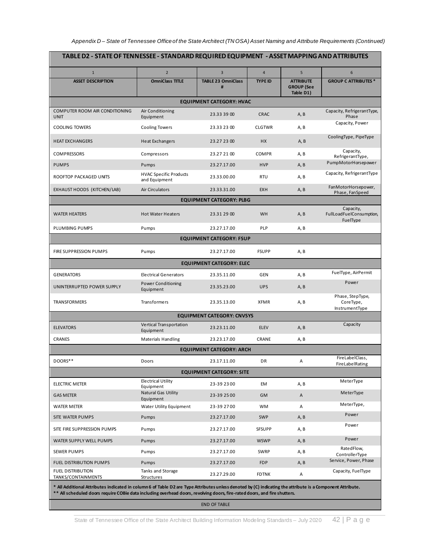| $\overline{2}$<br>$\overline{4}$<br>5<br>$\overline{1}$<br>$\overline{3}$<br>6 |                                                |                                   |                |                                                    |                                                   |  |  |  |  |
|--------------------------------------------------------------------------------|------------------------------------------------|-----------------------------------|----------------|----------------------------------------------------|---------------------------------------------------|--|--|--|--|
| <b>ASSET DESCRIPTION</b>                                                       | <b>OmniClass TITLE</b>                         | <b>TABLE 23 OmniClass</b><br>#    | <b>TYPE ID</b> | <b>ATTRIBUTE</b><br><b>GROUP</b> (See<br>Table D1) | <b>GROUP C ATTRIBUTES *</b>                       |  |  |  |  |
| <b>EQUIPMENT CATEGORY: HVAC</b>                                                |                                                |                                   |                |                                                    |                                                   |  |  |  |  |
| COMPUTER ROOM AIR CONDITIONING<br><b>UNIT</b>                                  | Air Conditioning<br>Equipment                  | 23.33 39 00                       | <b>CRAC</b>    | A, B                                               | Capacity, RefrigerantType,<br>Phase               |  |  |  |  |
| <b>COOLING TOWERS</b>                                                          | <b>Cooling Towers</b>                          | 23.33 23 00                       | <b>CLGTWR</b>  | A, B                                               | Capacity, Power                                   |  |  |  |  |
| <b>HEAT EXCHANGERS</b>                                                         | <b>Heat Exchangers</b>                         | 23.27 23 00                       | HX             | A, B                                               | CoolingType, PipeType                             |  |  |  |  |
| <b>COMPRESSORS</b>                                                             | Compressors                                    | 23.27 21 00                       | <b>COMPR</b>   | A, B                                               | Capacity,<br>RefrigerantType,                     |  |  |  |  |
| <b>PUMPS</b>                                                                   | Pumps                                          | 23.27.17.00                       | <b>HVP</b>     | A, B                                               | PumpMotorHorsepower                               |  |  |  |  |
| ROOFTOP PACKAGED UNITS                                                         | <b>HVAC Specific Products</b><br>and Equipment | 23.33.00.00                       | RTU            | A, B                                               | Capacity, RefrigerantType                         |  |  |  |  |
| EXHAUST HOODS (KITCHEN/LAB)                                                    | <b>Air Circulators</b>                         | 23.33.31.00                       | <b>EXH</b>     | A, B                                               | FanMotorHorsepower,<br>Phase, FanSpeed            |  |  |  |  |
|                                                                                |                                                | <b>EQUIPMENT CATEGORY: PLBG</b>   |                |                                                    |                                                   |  |  |  |  |
| <b>WATER HEATERS</b>                                                           | <b>Hot Water Heaters</b>                       | 23.31 29 00                       | <b>WH</b>      | A, B                                               | Capacity,<br>FullLoadFuelConsumption,<br>FuelType |  |  |  |  |
| PLUMBING PUMPS                                                                 | Pumps                                          | 23.27.17.00                       | PLP            | A, B                                               |                                                   |  |  |  |  |
|                                                                                |                                                | <b>EQUIPMENT CATEGORY: FSUP</b>   |                |                                                    |                                                   |  |  |  |  |
| FIRE SUPPRESSION PUMPS                                                         | Pumps                                          | 23.27.17.00                       | <b>FSUPP</b>   | A, B                                               |                                                   |  |  |  |  |
|                                                                                |                                                | <b>EQUIPMENT CATEGORY: ELEC</b>   |                |                                                    |                                                   |  |  |  |  |
| <b>GENERATORS</b>                                                              | <b>Electrical Generators</b>                   | 23.35.11.00                       | GEN            | A, B                                               | FuelType, AirPermit                               |  |  |  |  |
| UNINTERRUPTED POWER SUPPLY                                                     | <b>Power Conditioning</b><br>Equipment         | 23.35.23.00                       | <b>UPS</b>     | A, B                                               | Power                                             |  |  |  |  |
| <b>TRANSFORMERS</b>                                                            | Transformers                                   | 23.35.13.00                       | <b>XFMR</b>    | A, B                                               | Phase, StepType,<br>CoreType,<br>InstrumentType   |  |  |  |  |
|                                                                                |                                                | <b>EQUIPMENT CATEGORY: CNVSYS</b> |                |                                                    |                                                   |  |  |  |  |
| <b>ELEVATORS</b>                                                               | Vertical Transportation<br>Equipment           | 23.23.11.00                       | <b>ELEV</b>    | A, B                                               | Capacity                                          |  |  |  |  |
| CRANES                                                                         | <b>Materials Handling</b>                      | 23.23.17.00                       | CRANE          | A, B                                               |                                                   |  |  |  |  |
|                                                                                |                                                | <b>EQUIPMENT CATEGORY: ARCH</b>   |                |                                                    |                                                   |  |  |  |  |
| DOORS**                                                                        | Doors                                          | 23.17.11.00                       | DR             |                                                    | FireLabelClass,<br>FireLabelRating                |  |  |  |  |
|                                                                                |                                                | <b>EQUIPMENT CATEGORY: SITE</b>   |                |                                                    |                                                   |  |  |  |  |
| <b>ELECTRIC METER</b>                                                          | <b>Electrical Utility</b><br>Equipment         | 23-39 2300                        | EM             | A, B                                               | MeterType                                         |  |  |  |  |
| <b>GAS METER</b>                                                               | Natural Gas Utility<br>Equipment               | 23-39 25 00                       | GM             | Α                                                  | MeterType                                         |  |  |  |  |
| <b>WATER METER</b>                                                             | Water Utility Equipment                        | 23-39 2700                        | WM             | Α                                                  | MeterType,                                        |  |  |  |  |
| SITE WATER PUMPS                                                               | Pumps                                          | 23.27.17.00                       | <b>SWP</b>     | A, B                                               | Power                                             |  |  |  |  |
| SITE FIRE SUPPRESSION PUMPS                                                    | Pumps                                          | 23.27.17.00                       | <b>SFSUPP</b>  | A, B                                               | Power                                             |  |  |  |  |
| WATER SUPPLY WELL PUMPS                                                        | Pumps                                          | 23.27.17.00                       | <b>WSWP</b>    | A, B                                               | Power                                             |  |  |  |  |
| <b>SEWER PUMPS</b>                                                             | Pumps                                          | 23.27.17.00                       | <b>SWRP</b>    | A, B                                               | RatedFlow,<br>ControllerType                      |  |  |  |  |
| FUEL DISTRIBUTION PUMPS                                                        | Pumps                                          | 23.27.17.00                       | <b>FDP</b>     | A, B                                               | Service, Power, Phase                             |  |  |  |  |
| <b>FUEL DISTRIBUTION</b><br>TANKS/CONTAINMENTS                                 | Tanks and Storage<br>Structures                | 23.27.29.00                       | <b>FDTNK</b>   | Α                                                  | Capacity, FuelType                                |  |  |  |  |

END OF TABLE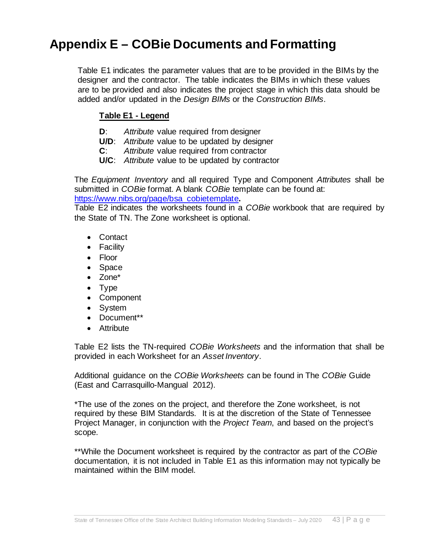### <span id="page-45-0"></span>**Appendix E – COBie Documents and Formatting**

Table E1 indicates the parameter values that are to be provided in the BIMs by the designer and the contractor. The table indicates the BIMs in which these values are to be provided and also indicates the project stage in which this data should be added and/or updated in the *Design BIMs* or the *Construction BIMs*.

#### **Table E1 - Legend**

- **D**: *Attribute* value required from designer
- **U/D**: *Attribute* value to be updated by designer
- **C**: *Attribute* value required from contractor
- **U/C**: *Attribute* value to be updated by contractor

The *Equipment Inventory* and all required Type and Component *Attributes* shall be submitted in *COBie* format. A blank *COBie* template can be found at: https://www.nibs.org/page/bsa\_cobietemplate**.**

Table E2 indicates the worksheets found in a *COBie* workbook that are required by the State of TN. The Zone worksheet is optional.

- Contact
- Facility
- Floor
- Space
- Zone\*
- Type
- Component
- System
- Document\*\*
- Attribute

Table E2 lists the TN-required *COBie Worksheets* and the information that shall be provided in each Worksheet for an *Asset Inventory*.

Additional guidance on the *COBie Worksheets* can be found in The *COBie* Guide (East and Carrasquillo-Mangual 2012).

\*The use of the zones on the project, and therefore the Zone worksheet, is not required by these BIM Standards. It is at the discretion of the State of Tennessee Project Manager, in conjunction with the *Project Team*, and based on the project's scope.

\*\*While the Document worksheet is required by the contractor as part of the *COBie* documentation, it is not included in Table E1 as this information may not typically be maintained within the BIM model.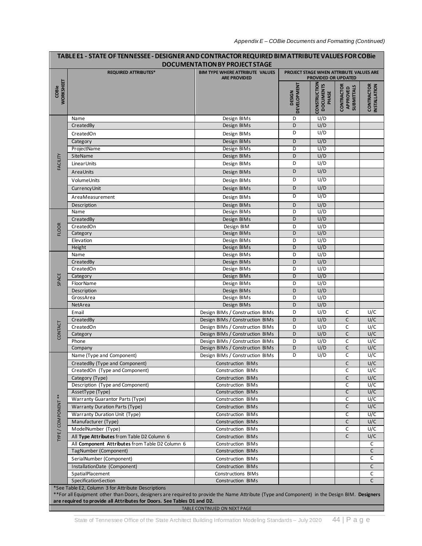|                           | TABLE E1 - STATE OF TENNESSEE - DESIGNER AND CONTRACTOR REQUIRED BIM ATTRIBUTE VALUES FOR COBIe<br><b>DOCUMENTATION BY PROJECT STAGE</b>     |                                                                    |                              |                                                                |                                                    |                                   |  |  |
|---------------------------|----------------------------------------------------------------------------------------------------------------------------------------------|--------------------------------------------------------------------|------------------------------|----------------------------------------------------------------|----------------------------------------------------|-----------------------------------|--|--|
|                           | <b>REQUIRED ATTRIBUTES*</b>                                                                                                                  | BIM TYPE WHERE ATTRIBUTE VALUES<br><b>ARE PROVIDED</b>             |                              | PROJECT STAGE WHEN ATTRIBUTE VALUES ARE<br>PROVIDED OR UPDATED |                                                    |                                   |  |  |
| <b>WORKSHEET</b><br>COBie |                                                                                                                                              |                                                                    | <b>DEVELOPMENT</b><br>DESIGN | <b>CONSTRUCTION<br/>DOCUMENTS<br/>PHASE</b>                    | <b>CONTRACTOR</b><br><b>APPROVED</b><br>SUBMITTALS | CONTRACTOR<br><b>INSTALLATION</b> |  |  |
|                           | Name                                                                                                                                         | Design BIMs                                                        | D                            | U/D                                                            |                                                    |                                   |  |  |
|                           | CreatedBy                                                                                                                                    | Design BIMs                                                        | D                            | U/D                                                            |                                                    |                                   |  |  |
|                           | CreatedOn                                                                                                                                    | Design BIMs                                                        | D                            | U/D                                                            |                                                    |                                   |  |  |
|                           | Category                                                                                                                                     | Design BIMs                                                        | D                            | U/D                                                            |                                                    |                                   |  |  |
|                           | ProjectName                                                                                                                                  | Design BIMs                                                        | D                            | U/D                                                            |                                                    |                                   |  |  |
|                           | SiteName                                                                                                                                     | Design BIMs                                                        | D                            | U/D                                                            |                                                    |                                   |  |  |
| FACILITY                  | Linear Units                                                                                                                                 | Design BIMs                                                        | D                            | U/D                                                            |                                                    |                                   |  |  |
|                           | AreaUnits                                                                                                                                    | Design BIMs                                                        | D                            | U/D                                                            |                                                    |                                   |  |  |
|                           | VolumeUnits                                                                                                                                  | Design BIMs                                                        | D                            | U/D                                                            |                                                    |                                   |  |  |
|                           | CurrencyUnit                                                                                                                                 | Design BIMs                                                        | D                            | U/D                                                            |                                                    |                                   |  |  |
|                           | AreaMeasurement                                                                                                                              | Design BIMs                                                        | D                            | U/D                                                            |                                                    |                                   |  |  |
|                           | Description                                                                                                                                  | Design BIMs                                                        | D                            | U/D                                                            |                                                    |                                   |  |  |
|                           | Name                                                                                                                                         | Design BIMs                                                        | D                            | U/D                                                            |                                                    |                                   |  |  |
|                           | CreatedBy                                                                                                                                    | Design BIMs                                                        | D                            | U/D                                                            |                                                    |                                   |  |  |
|                           | CreatedOn                                                                                                                                    | Design BIM                                                         | D                            | U/D                                                            |                                                    |                                   |  |  |
| <b>FLOOR</b>              | Category                                                                                                                                     | Design BIMs                                                        | D                            | U/D                                                            |                                                    |                                   |  |  |
|                           | Elevation                                                                                                                                    | Design BIMs                                                        | D                            | U/D                                                            |                                                    |                                   |  |  |
|                           | Height                                                                                                                                       | Design BIMs                                                        | D                            | U/D                                                            |                                                    |                                   |  |  |
|                           | Name                                                                                                                                         | Design BIMs                                                        | D                            | U/D                                                            |                                                    |                                   |  |  |
|                           | CreatedBy                                                                                                                                    | Design BIMs                                                        | D                            | U/D                                                            |                                                    |                                   |  |  |
|                           | CreatedOn                                                                                                                                    | Design BIMs                                                        | D                            | U/D                                                            |                                                    |                                   |  |  |
| SPACE                     | Category                                                                                                                                     | Design BIMs                                                        | D                            | U/D                                                            |                                                    |                                   |  |  |
|                           | Floor Name                                                                                                                                   | Design BIMs                                                        | D                            | U/D                                                            |                                                    |                                   |  |  |
|                           | Description                                                                                                                                  | Design BIMs                                                        | D                            | U/D                                                            |                                                    |                                   |  |  |
|                           | GrossArea                                                                                                                                    | Design BIMs                                                        | D                            | U/D                                                            |                                                    |                                   |  |  |
|                           | NetArea                                                                                                                                      | Design BIMs                                                        | D                            | U/D                                                            |                                                    |                                   |  |  |
|                           | Email                                                                                                                                        | Design BIMs / Construction BIMs                                    | D                            | U/D                                                            | C                                                  | U/C                               |  |  |
|                           | CreatedBy                                                                                                                                    | Design BIMs / Construction BIMs                                    | D                            | U/D                                                            | $\mathsf{C}$                                       | U/C                               |  |  |
| CONTACT                   | CreatedOn                                                                                                                                    | Design BIMs / Construction BIMs                                    | D                            | U/D                                                            | C                                                  | U/C                               |  |  |
|                           | Category<br>Phone                                                                                                                            | Design BIMs / Construction BIMs                                    | D<br>D                       | U/D<br>U/D                                                     | C                                                  | U/C<br>U/C                        |  |  |
|                           | Company                                                                                                                                      | Design BIMs / Construction BIMs<br>Design BIMs / Construction BIMs | D                            | U/D                                                            | C<br>C                                             | U/C                               |  |  |
|                           | Name (Type and Component)                                                                                                                    | Design BIMs / Construction BIMs                                    | D                            | U/D                                                            | C                                                  | U/C                               |  |  |
|                           | CreatedBy (Type and Component)                                                                                                               | Construction BIMs                                                  |                              |                                                                | C                                                  | U/C                               |  |  |
|                           | CreatedOn (Type and Component)                                                                                                               | Construction BIMs                                                  |                              |                                                                | C                                                  | U/C                               |  |  |
|                           | Category (Type)                                                                                                                              | Construction BIMs                                                  |                              |                                                                | C                                                  | U/C                               |  |  |
|                           | Description (Type and Component)                                                                                                             | Construction BIMs                                                  |                              |                                                                | С                                                  | U/C                               |  |  |
|                           | AssetType (Type)                                                                                                                             | Construction BIMs                                                  |                              |                                                                | $\overline{C}$                                     | U/C                               |  |  |
|                           | <b>Warranty Guarantor Parts (Type)</b>                                                                                                       | Construction BIMs                                                  |                              |                                                                | C                                                  | U/C                               |  |  |
| COMPONENT**               | Warranty Duration Parts (Type)                                                                                                               | Construction BIMs                                                  |                              |                                                                | $\mathsf C$                                        | U/C                               |  |  |
|                           | Warranty Duration Unit (Type)                                                                                                                | Construction BIMs                                                  |                              |                                                                | С                                                  | U/C                               |  |  |
|                           | Manufacturer (Type)                                                                                                                          | Construction BIMs                                                  |                              |                                                                | $\mathsf{C}$                                       | U/C                               |  |  |
|                           | ModelNumber (Type)                                                                                                                           | Construction BIMs                                                  |                              |                                                                | C                                                  | U/C                               |  |  |
| TYPE /                    | All Type Attributes from Table D2 Column 6                                                                                                   | Construction BIMs                                                  |                              |                                                                | С                                                  | U/C                               |  |  |
|                           | All Component Attributes from Table D2 Column 6                                                                                              | Construction BIMs                                                  |                              |                                                                |                                                    | C                                 |  |  |
|                           | TagNumber (Component)                                                                                                                        | Construction BIMs                                                  |                              |                                                                |                                                    | C                                 |  |  |
|                           | SerialNumber (Component)                                                                                                                     | Construction BIMs                                                  |                              |                                                                |                                                    | C                                 |  |  |
|                           | InstallationDate (Component)                                                                                                                 | Construction BIMs                                                  |                              |                                                                |                                                    | $\mathsf{C}$                      |  |  |
|                           | SpatialPlacement                                                                                                                             | Constructions BIMs                                                 |                              |                                                                |                                                    | C                                 |  |  |
|                           | SpecificationSection                                                                                                                         | Construction BIMs                                                  |                              |                                                                |                                                    | $\mathsf{C}$                      |  |  |
|                           | *See Table E2, Column 3 for Attribute Descriptions                                                                                           |                                                                    |                              |                                                                |                                                    |                                   |  |  |
|                           | **For all Equipment other than Doors, designers are required to provide the Name Attribute (Type and Component) in the Design BIM. Designers |                                                                    |                              |                                                                |                                                    |                                   |  |  |
|                           | are required to provide all Attributes for Doors. See Tables D1 and D2.                                                                      |                                                                    |                              |                                                                |                                                    |                                   |  |  |
|                           | TABLE CONTINUED ON NEXT PAGE                                                                                                                 |                                                                    |                              |                                                                |                                                    |                                   |  |  |

State of Tennessee Office of the State Architect Building Information Modeling Standards - July 2020 44 | Page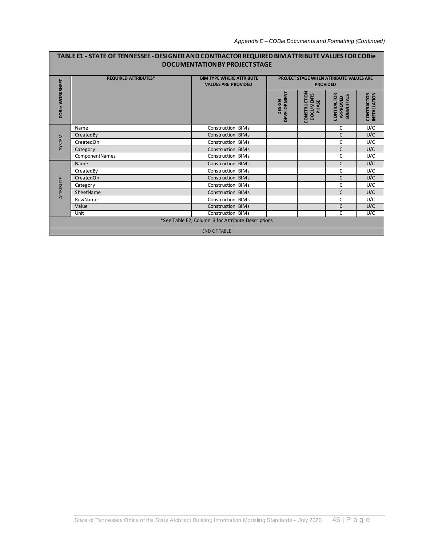|                 | TABLE E1 - STATE OF TENNESSEE - DESIGNER AND CONTRACTOR REQUIRED BIM ATTRIBUTE VALUES FOR COBIe | <b>DOCUMENTATION BY PROJECT STAGE</b>                         |                                     |                                                            |                                             |                                          |  |  |
|-----------------|-------------------------------------------------------------------------------------------------|---------------------------------------------------------------|-------------------------------------|------------------------------------------------------------|---------------------------------------------|------------------------------------------|--|--|
|                 | <b>REQUIRED ATTRIBUTES*</b>                                                                     | <b>BIM TYPE WHERE ATTRIBUTE</b><br><b>VALUES ARE PROVIDED</b> |                                     | PROJECT STAGE WHEN ATTRIBUTE VALUES ARE<br><b>PROVIDED</b> |                                             |                                          |  |  |
| COBie WORKSHEET |                                                                                                 |                                                               | <b>DEVELOPMENT</b><br><b>DESIGN</b> | CONSTRUCTION<br><b>DOCUMENTS</b><br>PHASE                  | CONTRACTOR<br><b>SUBMITTALS</b><br>APPROVED | <b>INSTALLATION</b><br><b>CONTRACTOR</b> |  |  |
|                 | Name                                                                                            | Construction BIMs                                             |                                     |                                                            | C                                           | U/C                                      |  |  |
|                 | CreatedBy                                                                                       | <b>Construction BIMs</b>                                      |                                     |                                                            | C                                           | U/C                                      |  |  |
| SYSTEM          | CreatedOn                                                                                       | Construction BIMs                                             |                                     |                                                            | C                                           | U/C                                      |  |  |
|                 | Category                                                                                        | Construction BIMs                                             |                                     |                                                            | C                                           | U/C                                      |  |  |
|                 | ComponentNames                                                                                  | Construction BIMs                                             |                                     |                                                            | C                                           | U/C                                      |  |  |
|                 | Name                                                                                            | <b>Construction BIMs</b>                                      |                                     |                                                            | C                                           | U/C                                      |  |  |
|                 | CreatedBy                                                                                       | Construction BIMs                                             |                                     |                                                            | C                                           | U/C                                      |  |  |
|                 | CreatedOn                                                                                       | Construction BIMs                                             |                                     |                                                            | C                                           | U/C                                      |  |  |
|                 | Category                                                                                        | Construction BIMs                                             |                                     |                                                            | C                                           | U/C                                      |  |  |
| ATTRIBUTE       | SheetName                                                                                       | <b>Construction BIMs</b>                                      |                                     |                                                            | C                                           | U/C                                      |  |  |
|                 | RowName                                                                                         | Construction BIMs                                             |                                     |                                                            | C                                           | U/C                                      |  |  |
|                 | Value                                                                                           | <b>Construction BIMs</b>                                      |                                     |                                                            | $\overline{\mathsf{C}}$                     | U/C                                      |  |  |
|                 | Unit                                                                                            | Construction BIMs                                             |                                     |                                                            | C                                           | U/C                                      |  |  |
|                 |                                                                                                 | *See Table E2, Column 3 for Attribute Descriptions            |                                     |                                                            |                                             |                                          |  |  |
|                 | <b>END OF TABLE</b>                                                                             |                                                               |                                     |                                                            |                                             |                                          |  |  |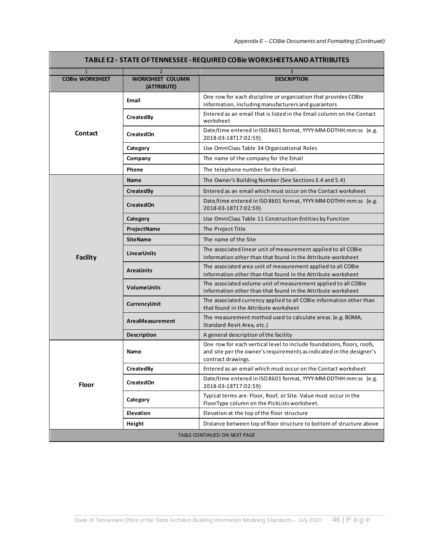| TABLE E2 - STATE OF TENNESSEE - REQUIRED COBie WORKSHEETS AND ATTRIBUTES |                                        |                                                                                                                                                                      |  |  |
|--------------------------------------------------------------------------|----------------------------------------|----------------------------------------------------------------------------------------------------------------------------------------------------------------------|--|--|
| $\mathbf{1}$                                                             | $\overline{2}$                         | $\overline{3}$                                                                                                                                                       |  |  |
| <b>COBie WORKSHEET</b>                                                   | <b>WORKSHEET COLUMN</b><br>(ATTRIBUTE) | <b>DESCRIPTION</b>                                                                                                                                                   |  |  |
|                                                                          | Email                                  | One row for each discipline or organization that provides COBie<br>information, including manufacturers and guarantors                                               |  |  |
|                                                                          | CreatedBy                              | Entered as an email that is listed in the Email column on the Contact<br>worksheet                                                                                   |  |  |
| Contact                                                                  | CreatedOn                              | Date/time entered in ISO 8601 format, YYYY-MM-DDTHH:mm:ss (e.g.<br>2018-03-18T17:02:59)                                                                              |  |  |
|                                                                          | Category                               | Use OmniClass Table 34 Organizational Roles                                                                                                                          |  |  |
|                                                                          | Company                                | The name of the company for the Email                                                                                                                                |  |  |
|                                                                          | Phone                                  | The telephone number for the Email.                                                                                                                                  |  |  |
|                                                                          | <b>Name</b>                            | The Owner's Building Number (See Sections 3.4 and 5.4)                                                                                                               |  |  |
|                                                                          | <b>CreatedBy</b>                       | Entered as an email which must occur on the Contact worksheet                                                                                                        |  |  |
|                                                                          | <b>CreatedOn</b>                       | Date/time entered in ISO 8601 format, YYYY-MM-DDTHH:mm:ss (e.g.<br>2018-03-18T17:02:59)                                                                              |  |  |
|                                                                          | Category                               | Use OmniClass Table 11 Construction Entities by Function                                                                                                             |  |  |
|                                                                          | ProjectName                            | The Project Title                                                                                                                                                    |  |  |
|                                                                          | <b>SiteName</b>                        | The name of the Site                                                                                                                                                 |  |  |
| <b>Facility</b>                                                          | <b>LinearUnits</b>                     | The associated linear unit of measurement applied to all COBie<br>information other than that found in the Attribute worksheet                                       |  |  |
|                                                                          | <b>AreaUnits</b>                       | The associated area unit of measurement applied to all COBie<br>information other than that found in the Attribute worksheet                                         |  |  |
|                                                                          | <b>VolumeUnits</b>                     | The associated volume unit of measurement applied to all COBie<br>information other than that found in the Attribute worksheet                                       |  |  |
|                                                                          | CurrencyUnit                           | The associated currency applied to all COBie information other than<br>that found in the Attribute worksheet                                                         |  |  |
|                                                                          | AreaMeasurement                        | The measurement method used to calculate areas. (e.g. BOMA,<br>Standard Revit Area, etc.)                                                                            |  |  |
|                                                                          | <b>Description</b>                     | A general description of the facility                                                                                                                                |  |  |
|                                                                          | Name                                   | One row for each vertical level to include foundations, floors, roofs,<br>and site per the owner's requirements as indicated in the designer's<br>contract drawings. |  |  |
|                                                                          | CreatedBy                              | Entered as an email which must occur on the Contact worksheet                                                                                                        |  |  |
| <b>Floor</b>                                                             | <b>CreatedOn</b>                       | Date/time entered in ISO 8601 format, YYYY-MM-DDTHH:mm:ss (e.g.<br>2018-03-18T17:02:59)                                                                              |  |  |
|                                                                          | Category                               | Typical terms are: Floor, Roof, or Site. Value must occur in the<br>FloorType column on the PickLists worksheet.                                                     |  |  |
|                                                                          | Elevation                              | Elevation at the top of the floor structure                                                                                                                          |  |  |
|                                                                          | Height                                 | Distance between top of floor structure to bottom of structure above                                                                                                 |  |  |
| TABLE CONTINUED ON NEXT PAGE                                             |                                        |                                                                                                                                                                      |  |  |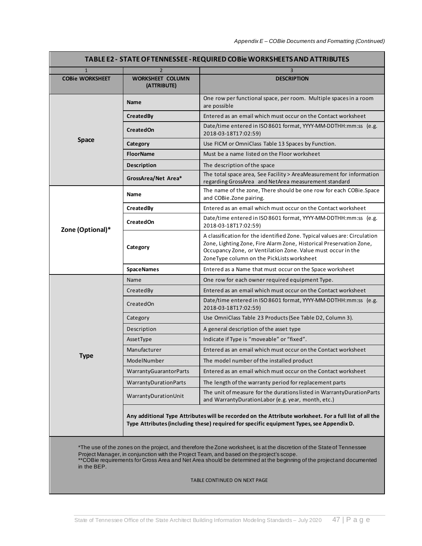| <b>COBie WORKSHEET</b> | <b>WORKSHEET COLUMN</b>                                                                                                                                                                            | <b>DESCRIPTION</b>                                                                                                                                                                                                                                             |  |
|------------------------|----------------------------------------------------------------------------------------------------------------------------------------------------------------------------------------------------|----------------------------------------------------------------------------------------------------------------------------------------------------------------------------------------------------------------------------------------------------------------|--|
|                        | (ATTRIBUTE)                                                                                                                                                                                        |                                                                                                                                                                                                                                                                |  |
|                        | <b>Name</b>                                                                                                                                                                                        | One row per functional space, per room. Multiple spaces in a room<br>are possible                                                                                                                                                                              |  |
|                        | <b>CreatedBy</b>                                                                                                                                                                                   | Entered as an email which must occur on the Contact worksheet                                                                                                                                                                                                  |  |
|                        | <b>CreatedOn</b>                                                                                                                                                                                   | Date/time entered in ISO 8601 format, YYYY-MM-DDTHH:mm:ss (e.g.<br>2018-03-18T17:02:59)                                                                                                                                                                        |  |
| <b>Space</b>           | Category                                                                                                                                                                                           | Use FICM or OmniClass Table 13 Spaces by Function.                                                                                                                                                                                                             |  |
|                        | <b>FloorName</b>                                                                                                                                                                                   | Must be a name listed on the Floor worksheet                                                                                                                                                                                                                   |  |
|                        | <b>Description</b>                                                                                                                                                                                 | The description of the space                                                                                                                                                                                                                                   |  |
|                        | GrossArea/Net Area*                                                                                                                                                                                | The total space area, See Facility > AreaMeasurement for information<br>regarding GrossArea and NetArea measurement standard                                                                                                                                   |  |
|                        | Name                                                                                                                                                                                               | The name of the zone, There should be one row for each COBie.Space<br>and COBie.Zone pairing.                                                                                                                                                                  |  |
|                        | CreatedBy                                                                                                                                                                                          | Entered as an email which must occur on the Contact worksheet                                                                                                                                                                                                  |  |
| Zone (Optional)*       | <b>CreatedOn</b>                                                                                                                                                                                   | Date/time entered in ISO 8601 format, YYYY-MM-DDTHH:mm:ss (e.g.<br>2018-03-18T17:02:59)                                                                                                                                                                        |  |
|                        | Category                                                                                                                                                                                           | A classification for the identified Zone. Typical values are: Circulation<br>Zone, Lighting Zone, Fire Alarm Zone, Historical Preservation Zone,<br>Occupancy Zone, or Ventilation Zone. Value must occur in the<br>ZoneType column on the PickLists worksheet |  |
|                        | <b>SpaceNames</b>                                                                                                                                                                                  | Entered as a Name that must occur on the Space worksheet                                                                                                                                                                                                       |  |
|                        | Name                                                                                                                                                                                               | One row for each owner required equipment Type.                                                                                                                                                                                                                |  |
|                        | CreatedBy                                                                                                                                                                                          | Entered as an email which must occur on the Contact worksheet                                                                                                                                                                                                  |  |
|                        | CreatedOn                                                                                                                                                                                          | Date/time entered in ISO 8601 format, YYYY-MM-DDTHH:mm:ss (e.g.<br>2018-03-18T17:02:59)                                                                                                                                                                        |  |
|                        | Category                                                                                                                                                                                           | Use OmniClass Table 23 Products (See Table D2, Column 3).                                                                                                                                                                                                      |  |
|                        | Description                                                                                                                                                                                        | A general description of the asset type                                                                                                                                                                                                                        |  |
|                        | AssetType                                                                                                                                                                                          | Indicate if Type is "moveable" or "fixed".                                                                                                                                                                                                                     |  |
|                        | Manufacturer                                                                                                                                                                                       | Entered as an email which must occur on the Contact worksheet                                                                                                                                                                                                  |  |
| <b>Type</b>            | ModelNumber                                                                                                                                                                                        | The model number of the installed product                                                                                                                                                                                                                      |  |
|                        | WarrantyGuarantorParts                                                                                                                                                                             | Entered as an email which must occur on the Contact worksheet                                                                                                                                                                                                  |  |
|                        | <b>WarrantyDurationParts</b>                                                                                                                                                                       | The length of the warranty period for replacement parts                                                                                                                                                                                                        |  |
|                        | WarrantyDurationUnit                                                                                                                                                                               | The unit of measure for the durations listed in WarrantyDurationParts<br>and WarrantyDurationLabor (e.g. year, month, etc.)                                                                                                                                    |  |
|                        | Any additional Type Attributes will be recorded on the Attribute worksheet. For a full list of all the<br>Type Attributes (including these) required for specific equipment Types, see Appendix D. |                                                                                                                                                                                                                                                                |  |
|                        |                                                                                                                                                                                                    | *The use of the zones on the project, and therefore the Zone worksheet, is at the discretion of the State of Tennessee<br>Project Manager, in conjunction with the Project Team, and based on the project's scope.                                             |  |

#### TABLE CONTINUED ON NEXT PAGE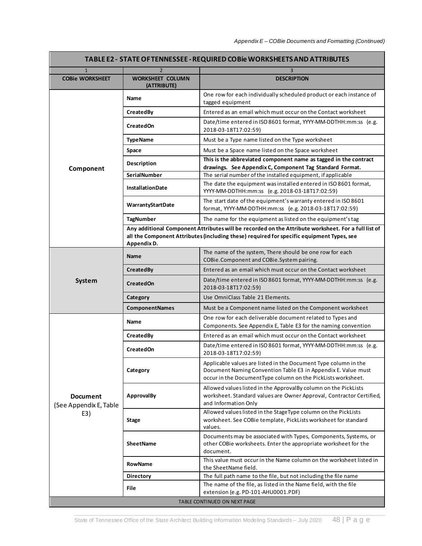| TABLE E2 - STATE OF TENNESSEE - REQUIRED COBIe WORKSHEETS AND ATTRIBUTES |                                                                                                                                                                                                                 |                                                                                                                                                                                                  |  |
|--------------------------------------------------------------------------|-----------------------------------------------------------------------------------------------------------------------------------------------------------------------------------------------------------------|--------------------------------------------------------------------------------------------------------------------------------------------------------------------------------------------------|--|
| $\mathbf{1}$<br><b>COBie WORKSHEET</b>                                   | $\overline{2}$<br><b>WORKSHEET COLUMN</b>                                                                                                                                                                       | 3<br><b>DESCRIPTION</b>                                                                                                                                                                          |  |
|                                                                          | (ATTRIBUTE)                                                                                                                                                                                                     |                                                                                                                                                                                                  |  |
|                                                                          | Name                                                                                                                                                                                                            | One row for each individually scheduled product or each instance of<br>tagged equipment                                                                                                          |  |
|                                                                          | CreatedBy                                                                                                                                                                                                       | Entered as an email which must occur on the Contact worksheet                                                                                                                                    |  |
|                                                                          | CreatedOn                                                                                                                                                                                                       | Date/time entered in ISO 8601 format, YYYY-MM-DDTHH:mm:ss (e.g.<br>2018-03-18T17:02:59)                                                                                                          |  |
|                                                                          | <b>TypeName</b>                                                                                                                                                                                                 | Must be a Type name listed on the Type worksheet                                                                                                                                                 |  |
|                                                                          | Space                                                                                                                                                                                                           | Must be a Space name listed on the Space worksheet                                                                                                                                               |  |
| Component                                                                | Description                                                                                                                                                                                                     | This is the abbreviated component name as tagged in the contract<br>drawings. See Appendix C, Component Tag Standard Format.                                                                     |  |
|                                                                          | <b>SerialNumber</b>                                                                                                                                                                                             | The serial number of the installed equipment, if applicable                                                                                                                                      |  |
|                                                                          | InstallationDate                                                                                                                                                                                                | The date the equipment was installed entered in ISO 8601 format,<br>YYYY-MM-DDTHH:mm:ss (e.g. 2018-03-18T17:02:59)                                                                               |  |
|                                                                          | WarrantyStartDate                                                                                                                                                                                               | The start date of the equipment's warranty entered in ISO 8601<br>format, YYYY-MM-DDTHH:mm:ss (e.g. 2018-03-18T17:02:59)                                                                         |  |
|                                                                          | <b>TagNumber</b>                                                                                                                                                                                                | The name for the equipment as listed on the equipment's tag                                                                                                                                      |  |
|                                                                          | Any additional Component Attributes will be recorded on the Attribute worksheet. For a full list of<br>all the Component Attributes (including these) required for specific equipment Types, see<br>Appendix D. |                                                                                                                                                                                                  |  |
|                                                                          | Name                                                                                                                                                                                                            | The name of the system, There should be one row for each<br>COBie.Component and COBie.System pairing.                                                                                            |  |
|                                                                          | <b>CreatedBy</b>                                                                                                                                                                                                | Entered as an email which must occur on the Contact worksheet                                                                                                                                    |  |
| System                                                                   | CreatedOn                                                                                                                                                                                                       | Date/time entered in ISO 8601 format, YYYY-MM-DDTHH:mm:ss (e.g.<br>2018-03-18T17:02:59)                                                                                                          |  |
|                                                                          | Category                                                                                                                                                                                                        | Use OmniClass Table 21 Elements.                                                                                                                                                                 |  |
|                                                                          | <b>ComponentNames</b>                                                                                                                                                                                           | Must be a Component name listed on the Component worksheet                                                                                                                                       |  |
|                                                                          | Name                                                                                                                                                                                                            | One row for each deliverable document related to Types and<br>Components. See Appendix E, Table E3 for the naming convention                                                                     |  |
|                                                                          | CreatedBy                                                                                                                                                                                                       | Entered as an email which must occur on the Contact worksheet                                                                                                                                    |  |
|                                                                          | CreatedOn                                                                                                                                                                                                       | Date/time entered in ISO 8601 format, YYYY-MM-DDTHH:mm:ss (e.g.<br>2018-03-18T17:02:59)                                                                                                          |  |
| <b>Document</b><br>(See Appendix E, Table<br>E3)                         | Category                                                                                                                                                                                                        | Applicable values are listed in the Document Type column in the<br>Document Naming Convention Table E3 in Appendix E. Value must<br>occur in the DocumentType column on the PickLists worksheet. |  |
|                                                                          | <b>ApprovalBy</b>                                                                                                                                                                                               | Allowed values listed in the ApprovalBy column on the PickLists<br>worksheet. Standard values are Owner Approval, Contractor Certified,<br>and Information Only                                  |  |
|                                                                          | Stage                                                                                                                                                                                                           | Allowed values listed in the StageType column on the PickLists<br>worksheet. See COBie template, PickLists worksheet for standard<br>values.                                                     |  |
|                                                                          | <b>SheetName</b>                                                                                                                                                                                                | Documents may be associated with Types, Components, Systems, or<br>other COBie worksheets. Enter the appropriate worksheet for the<br>document.                                                  |  |
|                                                                          | RowName                                                                                                                                                                                                         | This value must occur in the Name column on the worksheet listed in<br>the SheetName field.                                                                                                      |  |
|                                                                          | <b>Directory</b>                                                                                                                                                                                                | The full path name to the file, but not including the file name                                                                                                                                  |  |
|                                                                          | <b>File</b>                                                                                                                                                                                                     | The name of the file, as listed in the Name field, with the file<br>extension (e.g. PD-101-AHU0001.PDF)                                                                                          |  |
| TABLE CONTINUED ON NEXT PAGE                                             |                                                                                                                                                                                                                 |                                                                                                                                                                                                  |  |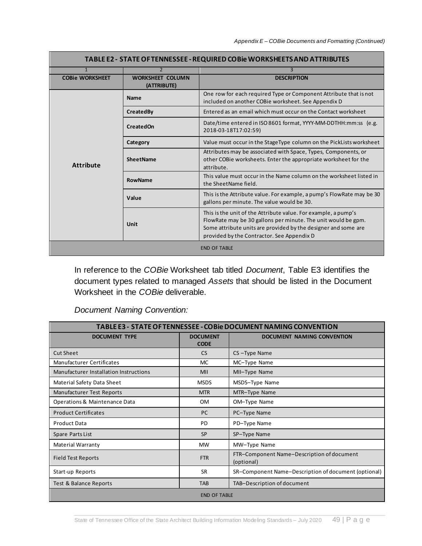| TABLE E2 - STATE OF TENNESSEE - REQUIRED COBIe WORKSHEETS AND ATTRIBUTES |                                        |                                                                                                                                                                                                                                                 |  |  |
|--------------------------------------------------------------------------|----------------------------------------|-------------------------------------------------------------------------------------------------------------------------------------------------------------------------------------------------------------------------------------------------|--|--|
| $\mathbf{1}$                                                             | $\overline{2}$                         | 3                                                                                                                                                                                                                                               |  |  |
| <b>COBie WORKSHEET</b>                                                   | <b>WORKSHEET COLUMN</b><br>(ATTRIBUTE) | <b>DESCRIPTION</b>                                                                                                                                                                                                                              |  |  |
| <b>Attribute</b>                                                         | <b>Name</b>                            | One row for each required Type or Component Attribute that is not<br>included on another COBie worksheet. See Appendix D                                                                                                                        |  |  |
|                                                                          | <b>CreatedBy</b>                       | Entered as an email which must occur on the Contact worksheet                                                                                                                                                                                   |  |  |
|                                                                          | <b>CreatedOn</b>                       | Date/time entered in ISO 8601 format, YYYY-MM-DDTHH:mm:ss (e.g.<br>2018-03-18T17:02:59)                                                                                                                                                         |  |  |
|                                                                          | Category                               | Value must occur in the StageType column on the PickLists worksheet                                                                                                                                                                             |  |  |
|                                                                          | SheetName                              | Attributes may be associated with Space, Types, Components, or<br>other COBie worksheets. Enter the appropriate worksheet for the<br>attribute.                                                                                                 |  |  |
|                                                                          | <b>RowName</b>                         | This value must occur in the Name column on the worksheet listed in<br>the SheetName field.                                                                                                                                                     |  |  |
|                                                                          | Value                                  | This is the Attribute value. For example, a pump's FlowRate may be 30<br>gallons per minute. The value would be 30.                                                                                                                             |  |  |
|                                                                          | Unit                                   | This is the unit of the Attribute value. For example, a pump's<br>FlowRate may be 30 gallons per minute. The unit would be gpm.<br>Some attribute units are provided by the designer and some are<br>provided by the Contractor. See Appendix D |  |  |
|                                                                          |                                        | <b>END OF TABLE</b>                                                                                                                                                                                                                             |  |  |

In reference to the *COBie* Worksheet tab titled *Document*, Table E3 identifies the document types related to managed *Assets* that should be listed in the Document Worksheet in the *COBie* deliverable.

| <b>Document Naming Convention:</b> |  |  |
|------------------------------------|--|--|
|------------------------------------|--|--|

| TABLE E3 - STATE OF TENNESSEE - COBIe DOCUMENT NAMING CONVENTION |                                |                                                          |  |
|------------------------------------------------------------------|--------------------------------|----------------------------------------------------------|--|
| <b>DOCUMENT TYPE</b>                                             | <b>DOCUMENT</b><br><b>CODE</b> | <b>DOCUMENT NAMING CONVENTION</b>                        |  |
| Cut Sheet                                                        | <b>CS</b>                      | CS-Type Name                                             |  |
| Manufacturer Certificates                                        | MC.                            | MC-Type Name                                             |  |
| Manufacturer Installation Instructions                           | MII                            | MII-Type Name                                            |  |
| Material Safety Data Sheet                                       | <b>MSDS</b>                    | MSDS-Type Name                                           |  |
| Manufacturer Test Reports                                        | <b>MTR</b>                     | MTR-Type Name                                            |  |
| Operations & Maintenance Data                                    | <b>OM</b>                      | OM-Type Name                                             |  |
| <b>Product Certificates</b>                                      | <b>PC</b>                      | PC-Type Name                                             |  |
| <b>Product Data</b>                                              | <b>PD</b>                      | PD-Type Name                                             |  |
| Spare Parts List                                                 | <b>SP</b>                      | SP-Type Name                                             |  |
| <b>Material Warranty</b>                                         | <b>MW</b>                      | MW-Type Name                                             |  |
| <b>Field Test Reports</b>                                        | <b>FTR</b>                     | FTR-Component Name-Description of document<br>(optional) |  |
| Start-up Reports                                                 | <b>SR</b>                      | SR-Component Name-Description of document (optional)     |  |
| Test & Balance Reports                                           | <b>TAB</b>                     | TAB-Description of document                              |  |
|                                                                  | <b>END OF TABLE</b>            |                                                          |  |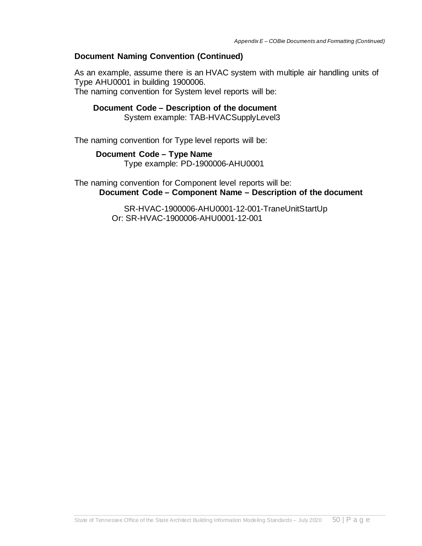#### **Document Naming Convention (Continued)**

As an example, assume there is an HVAC system with multiple air handling units of Type AHU0001 in building 1900006.

The naming convention for System level reports will be:

#### **Document Code – Description of the document**

System example: TAB-HVACSupplyLevel3

The naming convention for Type level reports will be:

#### **Document Code – Type Name**

Type example: PD-1900006-AHU0001

The naming convention for Component level reports will be: **Document Code – Component Name – Description of the document** 

> SR-HVAC-1900006-AHU0001-12-001-TraneUnitStartUp Or: SR-HVAC-1900006-AHU0001-12-001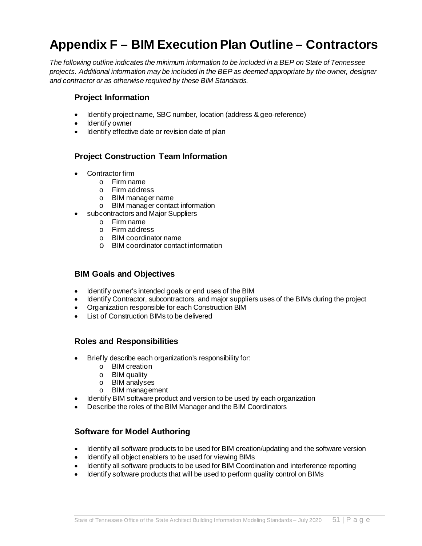## <span id="page-53-0"></span>**Appendix F – BIM Execution Plan Outline – Contractors**

*The following outline indicates the minimum information to be included in a BEP on State of Tennessee projects. Additional information may be included in the BEP as deemed appropriate by the owner, designer and contractor or as otherwise required by these BIM Standards.*

#### **Project Information**

- Identify project name, SBC number, location (address & geo-reference)
- Identify owner
- Identify effective date or revision date of plan

#### **Project Construction Team Information**

- Contractor firm
	- o Firm name
	- o Firm address
	- o BIM manager name
	- o BIM manager contact information
- subcontractors and Major Suppliers
	- o Firm name
	- o Firm address
	- o BIM coordinator name
	- o BIM coordinator contact information

#### **BIM Goals and Objectives**

- Identify owner's intended goals or end uses of the BIM
- Identify Contractor, subcontractors, and major suppliers uses of the BIMs during the project
- Organization responsible for each Construction BIM
- List of Construction BIMs to be delivered

#### **Roles and Responsibilities**

- Briefly describe each organization's responsibility for:
	- o BIM creation
	- o BIM quality
	- o BIM analyses
	- o BIM management
- Identify BIM software product and version to be used by each organization
- Describe the roles of the BIM Manager and the BIM Coordinators

#### **Software for Model Authoring**

- Identify all software products to be used for BIM creation/updating and the software version
- Identify all object enablers to be used for viewing BIMs
- Identify all software products to be used for BIM Coordination and interference reporting
- Identify software products that will be used to perform quality control on BIMs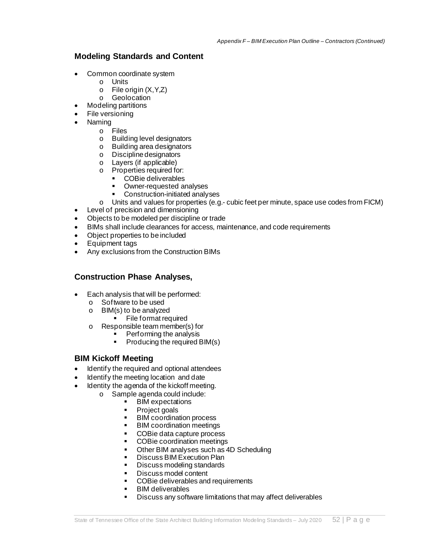#### **Modeling Standards and Content**

- Common coordinate system
	- o Units
	- o File origin (X,Y,Z)
	- o Geolocation
	- Modeling partitions
	- File versioning
- Naming
	- o Files
	- o Building level designators
	- o Building area designators
	- o Discipline designators
	- o Layers (if applicable)
	- o Properties required for:
		- COBie deliverables
		- **•** Owner-requested analyses
		- Construction-initiated analyses
	- $\circ$  Units and values for properties (e.g.- cubic feet per minute, space use codes from FICM)
- Level of precision and dimensioning
- Objects to be modeled per discipline or trade
- BIMs shall include clearances for access, maintenance, and code requirements
- Object properties to be included
- Equipment tags
- Any exclusions from the Construction BIMs

#### **Construction Phase Analyses,**

- Each analysis that will be performed:
	- o Software to be used
	- o BIM(s) to be analyzed
		- **File format required**
	- o Responsible team member(s) for
		- **Performing the analysis**
		- $\blacksquare$  Producing the required BIM(s)

#### **BIM Kickoff Meeting**

- Identify the required and optional attendees
- Identify the meeting location and date
- Identity the agenda of the kickoff meeting.
	- o Sample agenda could include:
		- **BIM** expectations
		- **Project goals**<br>**BIM** coordina
		- **BIM coordination process**<br>**BIM coordination meetings**
		- BIM coordination meetings
		- COBie data capture process
		- COBie coordination meetings
		- Other BIM analyses such as 4D Scheduling
		- **Discuss BIM Execution Plan**
		- Discuss modeling standards
		- Discuss model content
		- COBie deliverables and requirements
		- BIM deliverables
		- Discuss any software limitations that may affect deliverables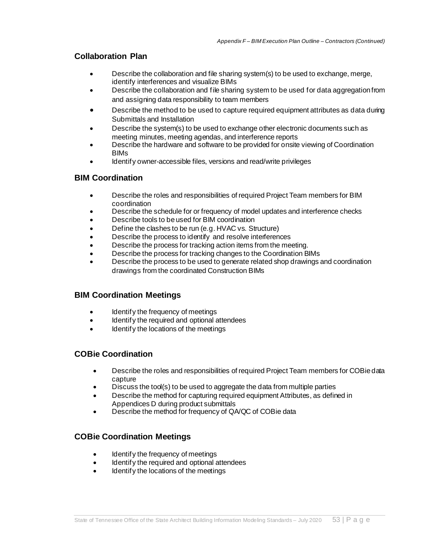#### **Collaboration Plan**

- Describe the collaboration and file sharing system(s) to be used to exchange, merge, identify interferences and visualize BIMs
- Describe the collaboration and file sharing system to be used for data aggregation from and assigning data responsibility to team members
- Describe the method to be used to capture required equipment attributes as data during Submittals and Installation
- Describe the system(s) to be used to exchange other electronic documents such as meeting minutes, meeting agendas, and interference reports
- Describe the hardware and software to be provided for onsite viewing of Coordination BIMs
- Identify owner-accessible files, versions and read/write privileges

#### **BIM Coordination**

- Describe the roles and responsibilities of required Project Team members for BIM coordination
- Describe the schedule for or frequency of model updates and interference checks
- Describe tools to be used for BIM coordination
- Define the clashes to be run (e.g. HVAC vs. Structure)
- Describe the process to identify and resolve interferences
- Describe the process for tracking action items from the meeting.
- Describe the process for tracking changes to the Coordination BIMs
- Describe the process to be used to generate related shop drawings and coordination drawings from the coordinated Construction BIMs

#### **BIM Coordination Meetings**

- Identify the frequency of meetings
- Identify the required and optional attendees
- Identify the locations of the meetings

#### **COBie Coordination**

- Describe the roles and responsibilities of required Project Team members for COBiedata capture
- Discuss the tool(s) to be used to aggregate the data from multiple parties
- Describe the method for capturing required equipment Attributes, as defined in Appendices D during product submittals
- Describe the method for frequency of QA/QC of COBie data

#### **COBie Coordination Meetings**

- Identify the frequency of meetings
- Identify the required and optional attendees
- Identify the locations of the meetings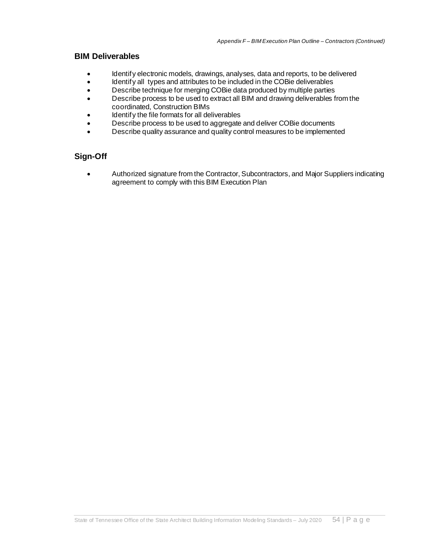#### **BIM Deliverables**

- Identify electronic models, drawings, analyses, data and reports, to be delivered
- Identify all types and attributes to be included in the COBie deliverables
- Describe technique for merging COBie data produced by multiple parties
- Describe process to be used to extract all BIM and drawing deliverables from the coordinated, Construction BIMs
- Identify the file formats for all deliverables
- Describe process to be used to aggregate and deliver COBie documents
- Describe quality assurance and quality control measures to be implemented

#### **Sign-Off**

• Authorized signature from the Contractor, Subcontractors, and Major Suppliers indicating agreement to comply with this BIM Execution Plan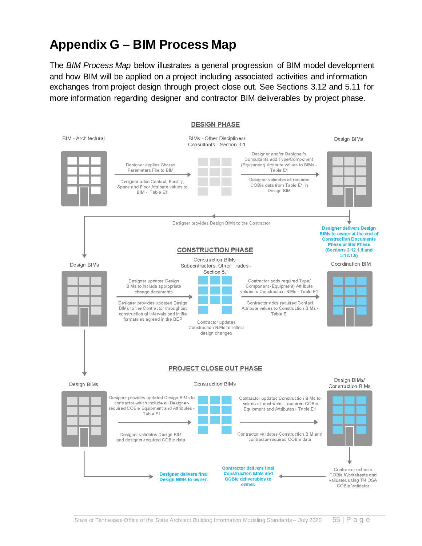## **Appendix G – BIM Process Map**

The *BIM Process Map* below illustrates a general progression of BIM model development and how BIM will be applied on a project including associated activities and information exchanges from project design through project close out. See Sections 3.12 and 5.11 for more information regarding designer and contractor BIM deliverables by project phase.

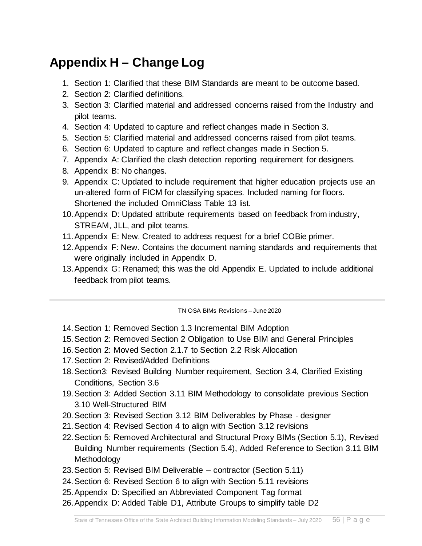## <span id="page-58-0"></span>**Appendix H – Change Log**

- 1. Section 1: Clarified that these BIM Standards are meant to be outcome based.
- 2. Section 2: Clarified definitions.
- 3. Section 3: Clarified material and addressed concerns raised from the Industry and pilot teams.
- 4. Section 4: Updated to capture and reflect changes made in Section 3.
- 5. Section 5: Clarified material and addressed concerns raised from pilot teams.
- 6. Section 6: Updated to capture and reflect changes made in Section 5.
- 7. Appendix A: Clarified the clash detection reporting requirement for designers.
- 8. Appendix B: No changes.
- 9. Appendix C: Updated to include requirement that higher education projects use an un-altered form of FICM for classifying spaces. Included naming for floors. Shortened the included OmniClass Table 13 list.
- 10.Appendix D: Updated attribute requirements based on feedback from industry, STREAM, JLL, and pilot teams.
- 11.Appendix E: New. Created to address request for a brief COBie primer.
- 12.Appendix F: New. Contains the document naming standards and requirements that were originally included in Appendix D.
- 13.Appendix G: Renamed; this was the old Appendix E. Updated to include additional feedback from pilot teams.

#### TN OSA BIMs Revisions – June 2020

- 14.Section 1: Removed Section 1.3 Incremental BIM Adoption
- 15.Section 2: Removed Section 2 Obligation to Use BIM and General Principles
- 16.Section 2: Moved Section 2.1.7 to Section 2.2 Risk Allocation
- 17.Section 2: Revised/Added Definitions
- 18.Section3: Revised Building Number requirement, Section 3.4, Clarified Existing Conditions, Section 3.6
- 19.Section 3: Added Section 3.11 BIM Methodology to consolidate previous Section 3.10 Well-Structured BIM
- 20.Section 3: Revised Section 3.12 BIM Deliverables by Phase designer
- 21.Section 4: Revised Section 4 to align with Section 3.12 revisions
- 22.Section 5: Removed Architectural and Structural Proxy BIMs (Section 5.1), Revised Building Number requirements (Section 5.4), Added Reference to Section 3.11 BIM **Methodology**
- 23.Section 5: Revised BIM Deliverable contractor (Section 5.11)
- 24.Section 6: Revised Section 6 to align with Section 5.11 revisions
- 25.Appendix D: Specified an Abbreviated Component Tag format
- 26.Appendix D: Added Table D1, Attribute Groups to simplify table D2